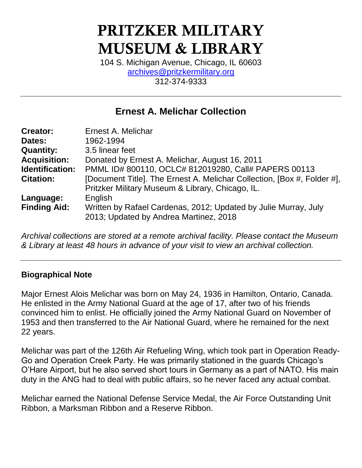# PRITZKER MILITARY MUSEUM & LIBRARY

104 S. Michigan Avenue, Chicago, IL 60603 [archives@pritzkermilitary.org](mailto:archives@pritzkermilitary.org) 312-374-9333

# **Ernest A. Melichar Collection**

| Ernest A. Melichar                                                                                        |
|-----------------------------------------------------------------------------------------------------------|
| 1962-1994                                                                                                 |
| 3.5 linear feet                                                                                           |
| Donated by Ernest A. Melichar, August 16, 2011                                                            |
| PMML ID# 800110, OCLC# 812019280, Call# PAPERS 00113                                                      |
| [Document Title]. The Ernest A. Melichar Collection, [Box #, Folder #],                                   |
| Pritzker Military Museum & Library, Chicago, IL.                                                          |
| English                                                                                                   |
| Written by Rafael Cardenas, 2012; Updated by Julie Murray, July<br>2013; Updated by Andrea Martinez, 2018 |
|                                                                                                           |

*Archival collections are stored at a remote archival facility. Please contact the Museum & Library at least 48 hours in advance of your visit to view an archival collection.*

#### **Biographical Note**

Major Ernest Alois Melichar was born on May 24, 1936 in Hamilton, Ontario, Canada. He enlisted in the Army National Guard at the age of 17, after two of his friends convinced him to enlist. He officially joined the Army National Guard on November of 1953 and then transferred to the Air National Guard, where he remained for the next 22 years.

Melichar was part of the 126th Air Refueling Wing, which took part in Operation Ready-Go and Operation Creek Party. He was primarily stationed in the guards Chicago's O'Hare Airport, but he also served short tours in Germany as a part of NATO. His main duty in the ANG had to deal with public affairs, so he never faced any actual combat.

Melichar earned the National Defense Service Medal, the Air Force Outstanding Unit Ribbon, a Marksman Ribbon and a Reserve Ribbon.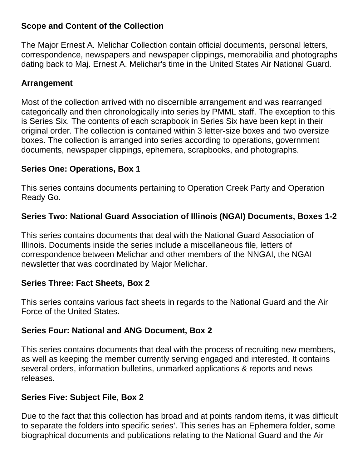#### **Scope and Content of the Collection**

The Major Ernest A. Melichar Collection contain official documents, personal letters, correspondence, newspapers and newspaper clippings, memorabilia and photographs dating back to Maj. Ernest A. Melichar's time in the United States Air National Guard.

#### **Arrangement**

Most of the collection arrived with no discernible arrangement and was rearranged categorically and then chronologically into series by PMML staff. The exception to this is Series Six. The contents of each scrapbook in Series Six have been kept in their original order. The collection is contained within 3 letter-size boxes and two oversize boxes. The collection is arranged into series according to operations, government documents, newspaper clippings, ephemera, scrapbooks, and photographs.

#### **Series One: Operations, Box 1**

This series contains documents pertaining to Operation Creek Party and Operation Ready Go.

#### **Series Two: National Guard Association of Illinois (NGAI) Documents, Boxes 1-2**

This series contains documents that deal with the National Guard Association of Illinois. Documents inside the series include a miscellaneous file, letters of correspondence between Melichar and other members of the NNGAI, the NGAI newsletter that was coordinated by Major Melichar.

#### **Series Three: Fact Sheets, Box 2**

This series contains various fact sheets in regards to the National Guard and the Air Force of the United States.

#### **Series Four: National and ANG Document, Box 2**

This series contains documents that deal with the process of recruiting new members, as well as keeping the member currently serving engaged and interested. It contains several orders, information bulletins, unmarked applications & reports and news releases.

#### **Series Five: Subject File, Box 2**

Due to the fact that this collection has broad and at points random items, it was difficult to separate the folders into specific series'. This series has an Ephemera folder, some biographical documents and publications relating to the National Guard and the Air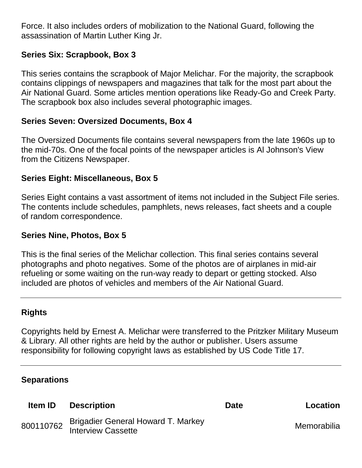Force. It also includes orders of mobilization to the National Guard, following the assassination of Martin Luther King Jr.

#### **Series Six: Scrapbook, Box 3**

This series contains the scrapbook of Major Melichar. For the majority, the scrapbook contains clippings of newspapers and magazines that talk for the most part about the Air National Guard. Some articles mention operations like Ready-Go and Creek Party. The scrapbook box also includes several photographic images.

#### **Series Seven: Oversized Documents, Box 4**

The Oversized Documents file contains several newspapers from the late 1960s up to the mid-70s. One of the focal points of the newspaper articles is Al Johnson's View from the Citizens Newspaper.

#### **Series Eight: Miscellaneous, Box 5**

Series Eight contains a vast assortment of items not included in the Subject File series. The contents include schedules, pamphlets, news releases, fact sheets and a couple of random correspondence.

#### **Series Nine, Photos, Box 5**

This is the final series of the Melichar collection. This final series contains several photographs and photo negatives. Some of the photos are of airplanes in mid-air refueling or some waiting on the run-way ready to depart or getting stocked. Also included are photos of vehicles and members of the Air National Guard.

#### **Rights**

Copyrights held by Ernest A. Melichar were transferred to the Pritzker Military Museum & Library. All other rights are held by the author or publisher. Users assume responsibility for following copyright laws as established by US Code Title 17.

#### **Separations**

| <b>Item ID</b> | <b>Description</b>                                       | <b>Date</b> | Location    |
|----------------|----------------------------------------------------------|-------------|-------------|
| 800110762      | Brigadier General Howard T. Markey<br>Interview Cassette |             | Memorabilia |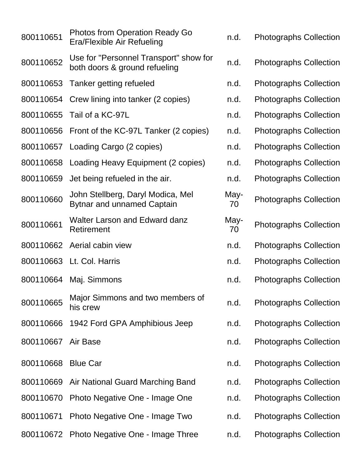| 800110651 | <b>Photos from Operation Ready Go</b><br>Era/Flexible Air Refueling     | n.d.       | <b>Photographs Collection</b> |
|-----------|-------------------------------------------------------------------------|------------|-------------------------------|
| 800110652 | Use for "Personnel Transport" show for<br>both doors & ground refueling | n.d.       | <b>Photographs Collection</b> |
| 800110653 | Tanker getting refueled                                                 | n.d.       | <b>Photographs Collection</b> |
| 800110654 | Crew lining into tanker (2 copies)                                      | n.d.       | <b>Photographs Collection</b> |
| 800110655 | Tail of a KC-97L                                                        | n.d.       | <b>Photographs Collection</b> |
|           | 800110656 Front of the KC-97L Tanker (2 copies)                         | n.d.       | <b>Photographs Collection</b> |
| 800110657 | Loading Cargo (2 copies)                                                | n.d.       | <b>Photographs Collection</b> |
| 800110658 | Loading Heavy Equipment (2 copies)                                      | n.d.       | <b>Photographs Collection</b> |
| 800110659 | Jet being refueled in the air.                                          | n.d.       | <b>Photographs Collection</b> |
| 800110660 | John Stellberg, Daryl Modica, Mel<br><b>Bytnar and unnamed Captain</b>  | May-<br>70 | <b>Photographs Collection</b> |
| 800110661 | Walter Larson and Edward danz<br>Retirement                             | May-<br>70 | <b>Photographs Collection</b> |
|           | 800110662 Aerial cabin view                                             | n.d.       | <b>Photographs Collection</b> |
|           | 800110663 Lt. Col. Harris                                               | n.d.       | <b>Photographs Collection</b> |
| 800110664 | Maj. Simmons                                                            | n.d.       | <b>Photographs Collection</b> |
| 800110665 | Major Simmons and two members of<br>his crew                            | n.d.       | <b>Photographs Collection</b> |
| 800110666 | 1942 Ford GPA Amphibious Jeep                                           | n.d.       | <b>Photographs Collection</b> |
| 800110667 | Air Base                                                                | n.d.       | <b>Photographs Collection</b> |
| 800110668 | <b>Blue Car</b>                                                         | n.d.       | <b>Photographs Collection</b> |
|           | 800110669 Air National Guard Marching Band                              | n.d.       | <b>Photographs Collection</b> |
| 800110670 | Photo Negative One - Image One                                          | n.d.       | <b>Photographs Collection</b> |
| 800110671 | Photo Negative One - Image Two                                          | n.d.       | <b>Photographs Collection</b> |
|           | 800110672 Photo Negative One - Image Three                              | n.d.       | <b>Photographs Collection</b> |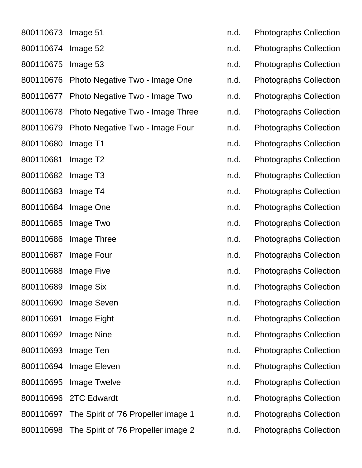| 800110673           | Image 51                                      |
|---------------------|-----------------------------------------------|
| 800110674           | Image 52                                      |
| 800110675           | Image 53                                      |
| 800110676           | Photo Negative Two - Image One                |
| 800110677           | Photo Negative Two - Image Two                |
| 800110678           | Photo Negative Two - Image Thre               |
| 800110679           | Photo Negative Two - Image Four               |
| 800110680           | Image T1                                      |
| 800110681           | Image T <sub>2</sub>                          |
| 800110682           | Image T <sub>3</sub>                          |
| 800110683           | Image T4                                      |
| 800110684           | Image One                                     |
| 800110685           | Image Two                                     |
| 800110686           | Image Three                                   |
| 800110687           | <b>Image Four</b>                             |
| 800110688           | <b>Image Five</b>                             |
| 800110689           | <b>Image Six</b>                              |
|                     | 800110690 Image Seven                         |
|                     | 800110691 Image Eight                         |
|                     | 800110692 Image Nine                          |
| 800110693 Image Ten |                                               |
| 800110694           | Image Eleven                                  |
|                     | 800110695 Image Twelve                        |
|                     | 800110696 2TC Edwardt                         |
|                     | 800110697 The Spirit of '76 Propeller image 1 |
|                     | 800110698 The Spirit of '76 Propeller image 2 |

- n.d. Photographs Collection
- n.d. Photographs Collection
- n.d. Photographs Collection
- n.d. Photographs Collection
- n.d. Photographs Collection
- e and. Photographs Collection
	- n.d. Photographs Collection
	- n.d. Photographs Collection
	- n.d. Photographs Collection
	- n.d. Photographs Collection
	- n.d. Photographs Collection
	- n.d. Photographs Collection
	- n.d. Photographs Collection
	- n.d. Photographs Collection
	- n.d. Photographs Collection
	- n.d. Photographs Collection
	- n.d. Photographs Collection
	- n.d. Photographs Collection
	- n.d. Photographs Collection
	- n.d. Photographs Collection
	- n.d. Photographs Collection
	- n.d. Photographs Collection
	- n.d. Photographs Collection
	- n.d. Photographs Collection
	- n.d. Photographs Collection
- 2 n.d. Photographs Collection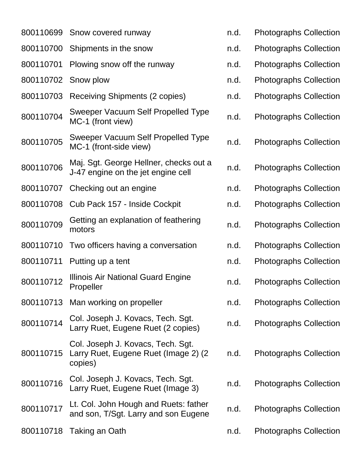|           | 800110699 Snow covered runway                                                         | n.d. | Ρł           |
|-----------|---------------------------------------------------------------------------------------|------|--------------|
|           | 800110700 Shipments in the snow                                                       | n.d. | $\mathsf{P}$ |
| 800110701 | Plowing snow off the runway                                                           | n.d. | $\mathsf{P}$ |
| 800110702 | Snow plow                                                                             | n.d. | $\mathsf{P}$ |
| 800110703 | <b>Receiving Shipments (2 copies)</b>                                                 | n.d. | Ρł           |
| 800110704 | Sweeper Vacuum Self Propelled Type<br>MC-1 (front view)                               | n.d. | Ρł           |
| 800110705 | Sweeper Vacuum Self Propelled Type<br>MC-1 (front-side view)                          | n.d. | Pł           |
| 800110706 | Maj. Sgt. George Hellner, checks out a<br>J-47 engine on the jet engine cell          | n.d. | Pł           |
| 800110707 | Checking out an engine                                                                | n.d. | Ρł           |
| 800110708 | Cub Pack 157 - Inside Cockpit                                                         | n.d. | $\mathsf{P}$ |
| 800110709 | Getting an explanation of feathering<br>motors                                        | n.d. | Pł           |
| 800110710 | Two officers having a conversation                                                    | n.d. | Ρł           |
| 800110711 | Putting up a tent                                                                     | n.d. | $\mathsf{P}$ |
| 800110712 | Illinois Air National Guard Engine<br>Propeller                                       | n.d. | $\mathsf{P}$ |
| 800110713 | Man working on propeller                                                              | n.d. | Ρł           |
| 800110714 | Col. Joseph J. Kovacs, Tech. Sgt.<br>Larry Ruet, Eugene Ruet (2 copies)               | n.d. | $\mathsf{P}$ |
| 800110715 | Col. Joseph J. Kovacs, Tech. Sgt.<br>Larry Ruet, Eugene Ruet (Image 2) (2)<br>copies) | n.d. | Pł           |
| 800110716 | Col. Joseph J. Kovacs, Tech. Sgt.<br>Larry Ruet, Eugene Ruet (Image 3)                | n.d. | Pł           |
| 800110717 | Lt. Col. John Hough and Ruets: father<br>and son, T/Sgt. Larry and son Eugene         | n.d. | Ρł           |
| 800110718 | Taking an Oath                                                                        | n.d. | Ρł           |

- hotographs Collection
- hotographs Collection
- hotographs Collection
- hotographs Collection
- hotographs Collection
- hotographs Collection
- hotographs Collection
- hotographs Collection
- hotographs Collection
- hotographs Collection
- hotographs Collection
- hotographs Collection
- hotographs Collection
- hotographs Collection
- hotographs Collection
- hotographs Collection
- hotographs Collection
- hotographs Collection
- hotographs Collection
- hotographs Collection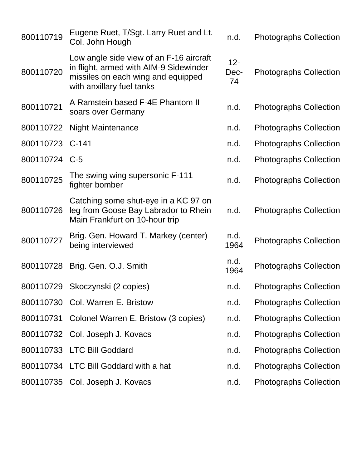| 800110719       | Eugene Ruet, T/Sgt. Larry Ruet and Lt.<br>Col. John Hough                                                                                            | n.d.                 | <b>Photographs Collection</b> |
|-----------------|------------------------------------------------------------------------------------------------------------------------------------------------------|----------------------|-------------------------------|
| 800110720       | Low angle side view of an F-16 aircraft<br>in flight, armed with AIM-9 Sidewinder<br>missiles on each wing and equipped<br>with anxillary fuel tanks | $12 -$<br>Dec-<br>74 | <b>Photographs Collection</b> |
| 800110721       | A Ramstein based F-4E Phantom II<br>soars over Germany                                                                                               | n.d.                 | <b>Photographs Collection</b> |
| 800110722       | <b>Night Maintenance</b>                                                                                                                             | n.d.                 | <b>Photographs Collection</b> |
| 800110723 C-141 |                                                                                                                                                      | n.d.                 | <b>Photographs Collection</b> |
| 800110724 C-5   |                                                                                                                                                      | n.d.                 | <b>Photographs Collection</b> |
| 800110725       | The swing wing supersonic F-111<br>fighter bomber                                                                                                    | n.d.                 | <b>Photographs Collection</b> |
| 800110726       | Catching some shut-eye in a KC 97 on<br>leg from Goose Bay Labrador to Rhein<br>Main Frankfurt on 10-hour trip                                       | n.d.                 | <b>Photographs Collection</b> |
| 800110727       | Brig. Gen. Howard T. Markey (center)<br>being interviewed                                                                                            | n.d.<br>1964         | <b>Photographs Collection</b> |
| 800110728       | Brig. Gen. O.J. Smith                                                                                                                                | n.d.<br>1964         | <b>Photographs Collection</b> |
| 800110729       | Skoczynski (2 copies)                                                                                                                                | n.d.                 | <b>Photographs Collection</b> |
|                 | 800110730 Col. Warren E. Bristow                                                                                                                     | n.d.                 | <b>Photographs Collection</b> |
|                 | 800110731 Colonel Warren E. Bristow (3 copies)                                                                                                       | n.d.                 | <b>Photographs Collection</b> |
|                 | 800110732 Col. Joseph J. Kovacs                                                                                                                      | n.d.                 | <b>Photographs Collection</b> |
|                 | 800110733 LTC Bill Goddard                                                                                                                           | n.d.                 | <b>Photographs Collection</b> |
|                 | 800110734 LTC Bill Goddard with a hat                                                                                                                | n.d.                 | <b>Photographs Collection</b> |
|                 | 800110735 Col. Joseph J. Kovacs                                                                                                                      | n.d.                 | <b>Photographs Collection</b> |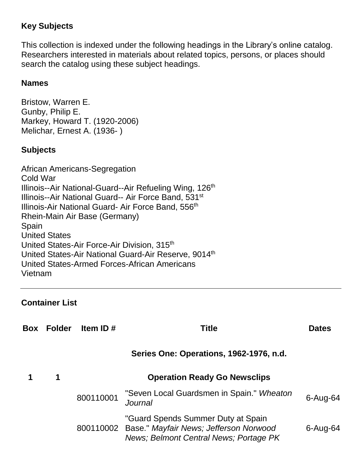### **Key Subjects**

This collection is indexed under the following headings in the Library's online catalog. Researchers interested in materials about related topics, persons, or places should search the catalog using these subject headings.

#### **Names**

Bristow, Warren E. Gunby, Philip E. Markey, Howard T. (1920-2006) Melichar, Ernest A. (1936- )

#### **Subjects**

African Americans-Segregation Cold War Illinois--Air National-Guard--Air Refueling Wing, 126<sup>th</sup> Illinois--Air National Guard-- Air Force Band, 531<sup>st</sup> Illinois-Air National Guard- Air Force Band, 556<sup>th</sup> Rhein-Main Air Base (Germany) Spain United States United States-Air Force-Air Division, 315<sup>th</sup> United States-Air National Guard-Air Reserve, 9014th United States-Armed Forces-African Americans Vietnam

#### **Container List**

| Box | <b>Folder</b> | Item ID $#$ | Title                                                                                                                            | <b>Dates</b> |
|-----|---------------|-------------|----------------------------------------------------------------------------------------------------------------------------------|--------------|
|     |               |             | Series One: Operations, 1962-1976, n.d.                                                                                          |              |
|     | 1             |             | <b>Operation Ready Go Newsclips</b>                                                                                              |              |
|     |               | 800110001   | "Seven Local Guardsmen in Spain." Wheaton<br>Journal                                                                             | $6 - Aug-64$ |
|     |               |             | "Guard Spends Summer Duty at Spain<br>800110002 Base." Mayfair News; Jefferson Norwood<br>News; Belmont Central News; Portage PK | $6 - Aug-64$ |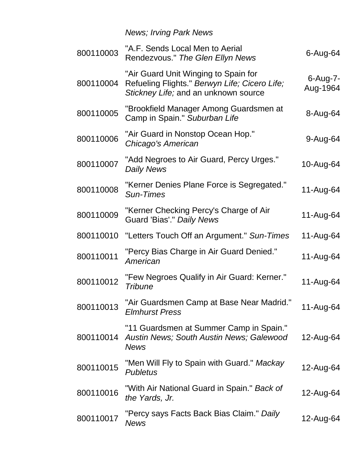*News; Irving Park News*

| 800110003 | "A.F. Sends Local Men to Aerial<br>Rendezvous." The Glen Ellyn News                                                           | $6 - Aug-64$            |
|-----------|-------------------------------------------------------------------------------------------------------------------------------|-------------------------|
| 800110004 | "Air Guard Unit Winging to Spain for<br>Refueling Flights." Berwyn Life; Cicero Life;<br>Stickney Life; and an unknown source | $6$ -Aug-7-<br>Aug-1964 |
| 800110005 | "Brookfield Manager Among Guardsmen at<br>Camp in Spain." Suburban Life                                                       | 8-Aug-64                |
| 800110006 | "Air Guard in Nonstop Ocean Hop."<br>Chicago's American                                                                       | 9-Aug-64                |
| 800110007 | "Add Negroes to Air Guard, Percy Urges."<br><b>Daily News</b>                                                                 | 10-Aug-64               |
| 800110008 | "Kerner Denies Plane Force is Segregated."<br>Sun-Times                                                                       | 11-Aug-64               |
| 800110009 | "Kerner Checking Percy's Charge of Air<br>Guard 'Bias'." Daily News                                                           | 11-Aug-64               |
| 800110010 | "Letters Touch Off an Argument." Sun-Times                                                                                    | 11-Aug-64               |
| 800110011 | "Percy Bias Charge in Air Guard Denied."<br>American                                                                          | 11-Aug-64               |
| 800110012 | "Few Negroes Qualify in Air Guard: Kerner."<br>Tribune                                                                        | 11-Aug-64               |
| 800110013 | "Air Guardsmen Camp at Base Near Madrid."<br><b>Elmhurst Press</b>                                                            | 11-Aug-64               |
| 800110014 | "11 Guardsmen at Summer Camp in Spain."<br>Austin News; South Austin News; Galewood<br><b>News</b>                            | 12-Aug-64               |
| 800110015 | "Men Will Fly to Spain with Guard." Mackay<br><b>Publetus</b>                                                                 | 12-Aug-64               |
| 800110016 | "With Air National Guard in Spain." Back of<br>the Yards, Jr.                                                                 | 12-Aug-64               |
| 800110017 | "Percy says Facts Back Bias Claim." <i>Daily</i><br><b>News</b>                                                               | 12-Aug-64               |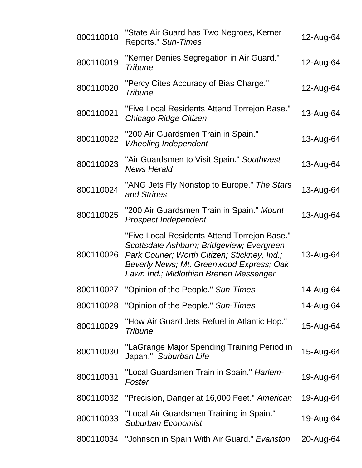| 800110018 | "State Air Guard has Two Negroes, Kerner<br>Reports." Sun-Times                                                                                                                                                                 | 12-Aug-64 |
|-----------|---------------------------------------------------------------------------------------------------------------------------------------------------------------------------------------------------------------------------------|-----------|
| 800110019 | "Kerner Denies Segregation in Air Guard."<br>Tribune                                                                                                                                                                            | 12-Aug-64 |
| 800110020 | "Percy Cites Accuracy of Bias Charge."<br>Tribune                                                                                                                                                                               | 12-Aug-64 |
| 800110021 | "Five Local Residents Attend Torrejon Base."<br>Chicago Ridge Citizen                                                                                                                                                           | 13-Aug-64 |
| 800110022 | "200 Air Guardsmen Train in Spain."<br><b>Wheeling Independent</b>                                                                                                                                                              | 13-Aug-64 |
| 800110023 | "Air Guardsmen to Visit Spain." Southwest<br><b>News Herald</b>                                                                                                                                                                 | 13-Aug-64 |
| 800110024 | "ANG Jets Fly Nonstop to Europe." The Stars<br>and Stripes                                                                                                                                                                      | 13-Aug-64 |
| 800110025 | "200 Air Guardsmen Train in Spain." Mount<br>Prospect Independent                                                                                                                                                               | 13-Aug-64 |
| 800110026 | "Five Local Residents Attend Torrejon Base."<br>Scottsdale Ashburn; Bridgeview; Evergreen<br>Park Courier; Worth Citizen; Stickney, Ind.;<br>Beverly News; Mt. Greenwood Express; Oak<br>Lawn Ind.; Midlothian Brenen Messenger | 13-Aug-64 |
| 800110027 | "Opinion of the People." Sun-Times                                                                                                                                                                                              | 14-Aug-64 |
| 800110028 | "Opinion of the People." Sun-Times                                                                                                                                                                                              | 14-Aug-64 |
| 800110029 | "How Air Guard Jets Refuel in Atlantic Hop."<br><b>Tribune</b>                                                                                                                                                                  | 15-Aug-64 |
| 800110030 | "LaGrange Major Spending Training Period in<br>Japan." Suburban Life                                                                                                                                                            | 15-Aug-64 |
| 800110031 | "Local Guardsmen Train in Spain." Harlem-<br>Foster                                                                                                                                                                             | 19-Aug-64 |
| 800110032 | "Precision, Danger at 16,000 Feet." American                                                                                                                                                                                    | 19-Aug-64 |
| 800110033 | "Local Air Guardsmen Training in Spain."<br>Suburban Economist                                                                                                                                                                  | 19-Aug-64 |
| 800110034 | "Johnson in Spain With Air Guard." Evanston                                                                                                                                                                                     | 20-Aug-64 |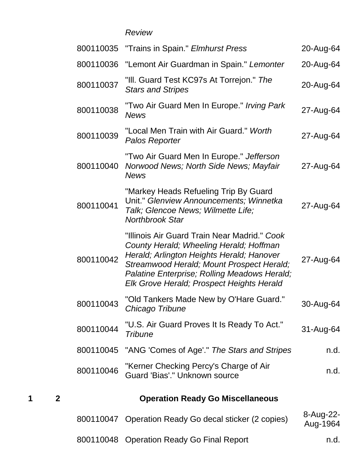#### *Review*

| 20-Aug-64             | 800110035 "Trains in Spain." Elmhurst Press                                                                                                                                                                                                                                    |           |
|-----------------------|--------------------------------------------------------------------------------------------------------------------------------------------------------------------------------------------------------------------------------------------------------------------------------|-----------|
| 20-Aug-64             | "Lemont Air Guardman in Spain." Lemonter                                                                                                                                                                                                                                       | 800110036 |
| 20-Aug-64             | "III. Guard Test KC97s At Torrejon." The<br><b>Stars and Stripes</b>                                                                                                                                                                                                           | 800110037 |
| 27-Aug-64             | "Two Air Guard Men In Europe." Irving Park<br><b>News</b>                                                                                                                                                                                                                      | 800110038 |
| 27-Aug-64             | "Local Men Train with Air Guard." Worth<br>Palos Reporter                                                                                                                                                                                                                      | 800110039 |
| 27-Aug-64             | "Two Air Guard Men In Europe." Jefferson<br>Norwood News; North Side News; Mayfair<br><b>News</b>                                                                                                                                                                              | 800110040 |
| 27-Aug-64             | "Markey Heads Refueling Trip By Guard<br>Unit." Glenview Announcements; Winnetka<br>Talk; Glencoe News; Wilmette Life;<br><b>Northbrook Star</b>                                                                                                                               | 800110041 |
| 27-Aug-64             | "Illinois Air Guard Train Near Madrid." Cook<br>County Herald; Wheeling Herald; Hoffman<br>Herald; Arlington Heights Herald; Hanover<br>Streamwood Herald; Mount Prospect Herald;<br>Palatine Enterprise; Rolling Meadows Herald;<br>Elk Grove Herald; Prospect Heights Herald | 800110042 |
| 30-Aug-64             | "Old Tankers Made New by O'Hare Guard."<br>Chicago Tribune                                                                                                                                                                                                                     | 800110043 |
| 31-Aug-64             | "U.S. Air Guard Proves It Is Ready To Act."<br><b>Tribune</b>                                                                                                                                                                                                                  | 800110044 |
| n.d.                  | "ANG 'Comes of Age'." The Stars and Stripes                                                                                                                                                                                                                                    | 800110045 |
| n.d.                  | "Kerner Checking Percy's Charge of Air<br>Guard 'Bias'." Unknown source                                                                                                                                                                                                        | 800110046 |
|                       | <b>Operation Ready Go Miscellaneous</b>                                                                                                                                                                                                                                        |           |
| 8-Aug-22-<br>Aug-1964 | 800110047 Operation Ready Go decal sticker (2 copies)                                                                                                                                                                                                                          |           |
| n.d.                  | 800110048 Operation Ready Go Final Report                                                                                                                                                                                                                                      |           |

**1 2 Operation Ready Go Miscellaneous**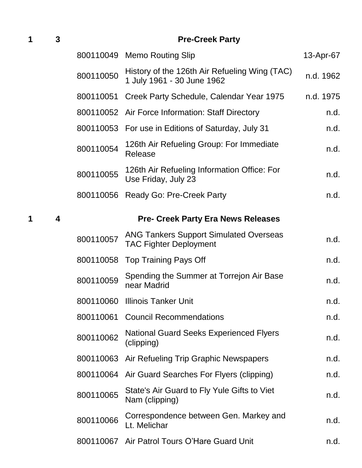**1 3 Pre-Creek Party**

|           | 800110049 Memo Routing Slip                                                    | 13-Apr-67 |
|-----------|--------------------------------------------------------------------------------|-----------|
| 800110050 | History of the 126th Air Refueling Wing (TAC)<br>1 July 1961 - 30 June 1962    | n.d. 1962 |
| 800110051 | Creek Party Schedule, Calendar Year 1975                                       | n.d. 1975 |
| 800110052 | Air Force Information: Staff Directory                                         | n.d.      |
| 800110053 | For use in Editions of Saturday, July 31                                       | n.d.      |
| 800110054 | 126th Air Refueling Group: For Immediate<br>Release                            | n.d.      |
| 800110055 | 126th Air Refueling Information Office: For<br>Use Friday, July 23             | n.d.      |
| 800110056 | Ready Go: Pre-Creek Party                                                      | n.d.      |
|           | <b>Pre- Creek Party Era News Releases</b>                                      |           |
| 800110057 | <b>ANG Tankers Support Simulated Overseas</b><br><b>TAC Fighter Deployment</b> | n.d.      |
| 800110058 | <b>Top Training Pays Off</b>                                                   | n.d.      |
| 800110059 | Spending the Summer at Torrejon Air Base<br>near Madrid                        | n.d.      |
| 800110060 | <b>Illinois Tanker Unit</b>                                                    | n.d.      |
| 800110061 | <b>Council Recommendations</b>                                                 | n.d.      |
| 800110062 | <b>National Guard Seeks Experienced Flyers</b><br>(clipping)                   | n.d.      |
| 800110063 | Air Refueling Trip Graphic Newspapers                                          | n.d.      |
| 800110064 | Air Guard Searches For Flyers (clipping)                                       | n.d.      |
| 800110065 | State's Air Guard to Fly Yule Gifts to Viet<br>Nam (clipping)                  | n.d.      |
| 800110066 | Correspondence between Gen. Markey and<br>Lt. Melichar                         | n.d.      |
| 800110067 | Air Patrol Tours O'Hare Guard Unit                                             | n.d.      |

**1 4 Pre- Creek Party Era News Releases**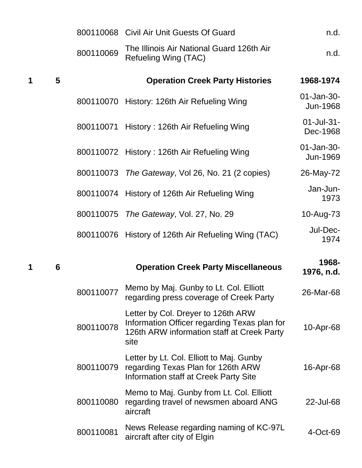|   |   |           | 800110068 Civil Air Unit Guests Of Guard                                                                                                 | n.d.                        |
|---|---|-----------|------------------------------------------------------------------------------------------------------------------------------------------|-----------------------------|
|   |   | 800110069 | The Illinois Air National Guard 126th Air<br>Refueling Wing (TAC)                                                                        | n.d.                        |
| 1 | 5 |           | <b>Operation Creek Party Histories</b>                                                                                                   | 1968-1974                   |
|   |   |           | 800110070 History: 126th Air Refueling Wing                                                                                              | 01-Jan-30-<br>Jun-1968      |
|   |   |           | 800110071 History: 126th Air Refueling Wing                                                                                              | 01-Jul-31-<br>Dec-1968      |
|   |   |           | 800110072 History: 126th Air Refueling Wing                                                                                              | $01 - Jan-30 -$<br>Jun-1969 |
|   |   |           | 800110073 The Gateway, Vol 26, No. 21 (2 copies)                                                                                         | 26-May-72                   |
|   |   |           | 800110074 History of 126th Air Refueling Wing                                                                                            | Jan-Jun-<br>1973            |
|   |   | 800110075 | The Gateway, Vol. 27, No. 29                                                                                                             | 10-Aug-73                   |
|   |   |           | 800110076 History of 126th Air Refueling Wing (TAC)                                                                                      | Jul-Dec-<br>1974            |
| 1 | 6 |           | <b>Operation Creek Party Miscellaneous</b>                                                                                               | 1968-<br>1976, n.d.         |
|   |   | 800110077 | Memo by Maj. Gunby to Lt. Col. Elliott<br>regarding press coverage of Creek Party                                                        | 26-Mar-68                   |
|   |   | 800110078 | Letter by Col. Dreyer to 126th ARW<br>Information Officer regarding Texas plan for<br>126th ARW information staff at Creek Party<br>site | 10-Apr-68                   |
|   |   |           | Letter by Lt. Col. Elliott to Maj. Gunby                                                                                                 |                             |

|           | Memo to Maj. Gunby from Lt. Col. Elliott<br>800110080 regarding travel of newsmen aboard ANG<br>aircraft | 22-Jul-68   |
|-----------|----------------------------------------------------------------------------------------------------------|-------------|
| 800110081 | News Release regarding naming of KC-97L<br>aircraft after city of Elgin                                  | $4$ -Oct-69 |

16-Apr-68

regarding Texas Plan for 126th ARW Information staff at Creek Party Site

800110079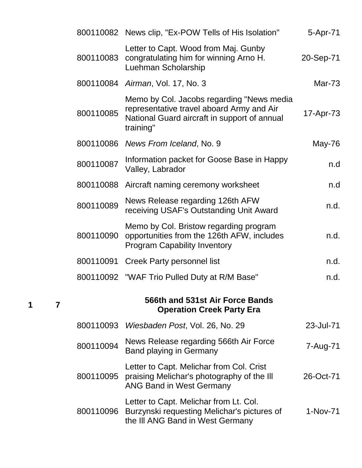|           | 800110082 News clip, "Ex-POW Tells of His Isolation"                                                                                                | 5-Apr-71      |
|-----------|-----------------------------------------------------------------------------------------------------------------------------------------------------|---------------|
| 800110083 | Letter to Capt. Wood from Maj. Gunby<br>congratulating him for winning Arno H.<br>Luehman Scholarship                                               | 20-Sep-71     |
|           | 800110084 Airman, Vol. 17, No. 3                                                                                                                    | <b>Mar-73</b> |
| 800110085 | Memo by Col. Jacobs regarding "News media<br>representative travel aboard Army and Air<br>National Guard aircraft in support of annual<br>training" | 17-Apr-73     |
|           | 800110086 News From Iceland, No. 9                                                                                                                  | May-76        |
| 800110087 | Information packet for Goose Base in Happy<br>Valley, Labrador                                                                                      | n.d           |
| 800110088 | Aircraft naming ceremony worksheet                                                                                                                  | n.d           |
| 800110089 | News Release regarding 126th AFW<br>receiving USAF's Outstanding Unit Award                                                                         | n.d.          |
| 800110090 | Memo by Col. Bristow regarding program<br>opportunities from the 126th AFW, includes<br><b>Program Capability Inventory</b>                         | n.d.          |
| 800110091 | <b>Creek Party personnel list</b>                                                                                                                   | n.d.          |
|           | 800110092 "WAF Trio Pulled Duty at R/M Base"                                                                                                        | n.d.          |
|           | 566th and 531st Air Force Bands<br><b>Operation Creek Party Era</b>                                                                                 |               |
| 800110093 | Wiesbaden Post, Vol. 26, No. 29                                                                                                                     | 23-Jul-71     |
| 800110094 | News Release regarding 566th Air Force<br><b>Band playing in Germany</b>                                                                            | 7-Aug-71      |
| 800110095 | Letter to Capt. Melichar from Col. Crist<br>praising Melichar's photography of the III<br><b>ANG Band in West Germany</b>                           | 26-Oct-71     |
| 800110096 | Letter to Capt. Melichar from Lt. Col.<br>Burzynski requesting Melichar's pictures of<br>the III ANG Band in West Germany                           | 1-Nov-71      |

**1 7**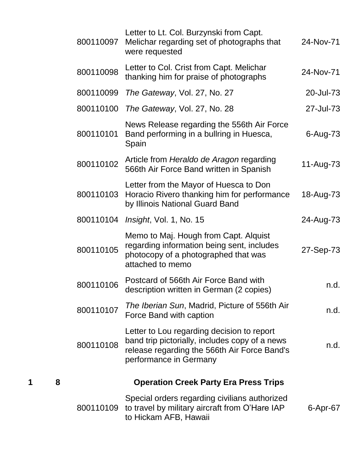|   |   | 800110097 | Letter to Lt. Col. Burzynski from Capt.<br>Melichar regarding set of photographs that<br>were requested                                                                | 24-Nov-71 |
|---|---|-----------|------------------------------------------------------------------------------------------------------------------------------------------------------------------------|-----------|
|   |   | 800110098 | Letter to Col. Crist from Capt. Melichar<br>thanking him for praise of photographs                                                                                     | 24-Nov-71 |
|   |   | 800110099 | The Gateway, Vol. 27, No. 27                                                                                                                                           | 20-Jul-73 |
|   |   | 800110100 | The Gateway, Vol. 27, No. 28                                                                                                                                           | 27-Jul-73 |
|   |   | 800110101 | News Release regarding the 556th Air Force<br>Band performing in a bullring in Huesca,<br>Spain                                                                        | 6-Aug-73  |
|   |   | 800110102 | Article from Heraldo de Aragon regarding<br>566th Air Force Band written in Spanish                                                                                    | 11-Aug-73 |
|   |   | 800110103 | Letter from the Mayor of Huesca to Don<br>Horacio Rivero thanking him for performance<br>by Illinois National Guard Band                                               | 18-Aug-73 |
|   |   | 800110104 | <i>Insight, Vol. 1, No. 15</i>                                                                                                                                         | 24-Aug-73 |
|   |   | 800110105 | Memo to Maj. Hough from Capt. Alquist<br>regarding information being sent, includes<br>photocopy of a photographed that was<br>attached to memo                        | 27-Sep-73 |
|   |   | 800110106 | Postcard of 566th Air Force Band with<br>description written in German (2 copies)                                                                                      | n.d.      |
|   |   | 800110107 | The Iberian Sun, Madrid, Picture of 556th Air<br>Force Band with caption                                                                                               | n.d.      |
|   |   | 800110108 | Letter to Lou regarding decision to report<br>band trip pictorially, includes copy of a news<br>release regarding the 566th Air Force Band's<br>performance in Germany | n.d.      |
| 1 | 8 |           | <b>Operation Creek Party Era Press Trips</b>                                                                                                                           |           |
|   |   | 800110109 | Special orders regarding civilians authorized<br>to travel by military aircraft from O'Hare IAP<br>to Hickam AFB, Hawaii                                               | 6-Apr-67  |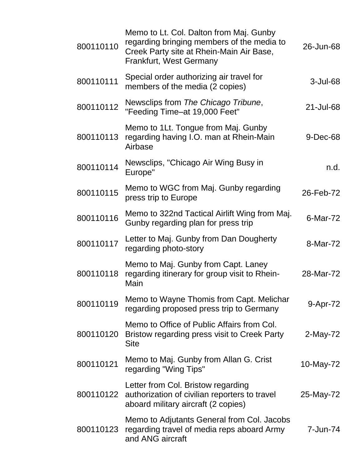| 800110110 | Memo to Lt. Col. Dalton from Maj. Gunby<br>regarding bringing members of the media to<br>Creek Party site at Rhein-Main Air Base,<br><b>Frankfurt, West Germany</b> | 26-Jun-68   |
|-----------|---------------------------------------------------------------------------------------------------------------------------------------------------------------------|-------------|
| 800110111 | Special order authorizing air travel for<br>members of the media (2 copies)                                                                                         | $3$ -Jul-68 |
| 800110112 | Newsclips from The Chicago Tribune,<br>"Feeding Time-at 19,000 Feet"                                                                                                | 21-Jul-68   |
| 800110113 | Memo to 1Lt. Tongue from Maj. Gunby<br>regarding having I.O. man at Rhein-Main<br>Airbase                                                                           | $9$ -Dec-68 |
| 800110114 | Newsclips, "Chicago Air Wing Busy in<br>Europe"                                                                                                                     | n.d.        |
| 800110115 | Memo to WGC from Maj. Gunby regarding<br>press trip to Europe                                                                                                       | 26-Feb-72   |
| 800110116 | Memo to 322nd Tactical Airlift Wing from Maj.<br>Gunby regarding plan for press trip                                                                                | 6-Mar-72    |
| 800110117 | Letter to Maj. Gunby from Dan Dougherty<br>regarding photo-story                                                                                                    | 8-Mar-72    |
| 800110118 | Memo to Maj. Gunby from Capt. Laney<br>regarding itinerary for group visit to Rhein-<br>Main                                                                        | 28-Mar-72   |
| 800110119 | Memo to Wayne Thomis from Capt. Melichar<br>regarding proposed press trip to Germany                                                                                | 9-Apr-72    |
| 800110120 | Memo to Office of Public Affairs from Col.<br>Bristow regarding press visit to Creek Party<br><b>Site</b>                                                           | 2-May-72    |
| 800110121 | Memo to Maj. Gunby from Allan G. Crist<br>regarding "Wing Tips"                                                                                                     | 10-May-72   |
| 800110122 | Letter from Col. Bristow regarding<br>authorization of civilian reporters to travel<br>aboard military aircraft (2 copies)                                          | 25-May-72   |
| 800110123 | Memo to Adjutants General from Col. Jacobs<br>regarding travel of media reps aboard Army<br>and ANG aircraft                                                        | 7-Jun-74    |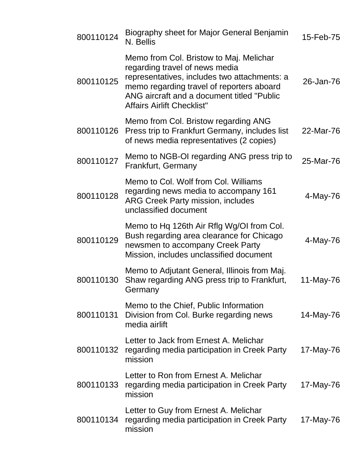| 800110124 | Biography sheet for Major General Benjamin<br>N. Bellis                                                                                                                                                                                                   | 15-Feb-75 |
|-----------|-----------------------------------------------------------------------------------------------------------------------------------------------------------------------------------------------------------------------------------------------------------|-----------|
| 800110125 | Memo from Col. Bristow to Maj. Melichar<br>regarding travel of news media<br>representatives, includes two attachments: a<br>memo regarding travel of reporters aboard<br>ANG aircraft and a document titled "Public<br><b>Affairs Airlift Checklist"</b> | 26-Jan-76 |
| 800110126 | Memo from Col. Bristow regarding ANG<br>Press trip to Frankfurt Germany, includes list<br>of news media representatives (2 copies)                                                                                                                        | 22-Mar-76 |
| 800110127 | Memo to NGB-OI regarding ANG press trip to<br>Frankfurt, Germany                                                                                                                                                                                          | 25-Mar-76 |
| 800110128 | Memo to Col. Wolf from Col. Williams<br>regarding news media to accompany 161<br><b>ARG Creek Party mission, includes</b><br>unclassified document                                                                                                        | 4-May-76  |
| 800110129 | Memo to Hq 126th Air Rflg Wg/OI from Col.<br>Bush regarding area clearance for Chicago<br>newsmen to accompany Creek Party<br>Mission, includes unclassified document                                                                                     | 4-May-76  |
| 800110130 | Memo to Adjutant General, Illinois from Maj.<br>Shaw regarding ANG press trip to Frankfurt,<br>Germany                                                                                                                                                    | 11-May-76 |
| 800110131 | Memo to the Chief, Public Information<br>Division from Col. Burke regarding news<br>media airlift                                                                                                                                                         | 14-May-76 |
| 800110132 | Letter to Jack from Ernest A. Melichar<br>regarding media participation in Creek Party<br>mission                                                                                                                                                         | 17-May-76 |
| 800110133 | Letter to Ron from Ernest A. Melichar<br>regarding media participation in Creek Party<br>mission                                                                                                                                                          | 17-May-76 |
| 800110134 | Letter to Guy from Ernest A. Melichar<br>regarding media participation in Creek Party<br>mission                                                                                                                                                          | 17-May-76 |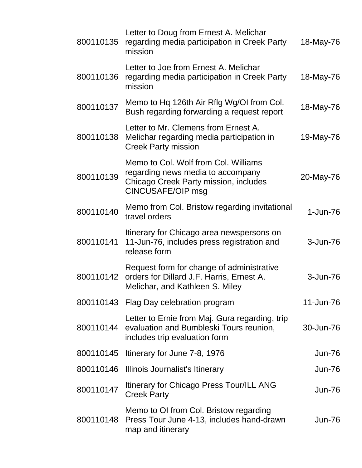| 800110135 | Letter to Doug from Ernest A. Melichar<br>regarding media participation in Creek Party<br>mission                                              | 18-May-76     |
|-----------|------------------------------------------------------------------------------------------------------------------------------------------------|---------------|
| 800110136 | Letter to Joe from Ernest A. Melichar<br>regarding media participation in Creek Party<br>mission                                               | 18-May-76     |
| 800110137 | Memo to Hq 126th Air Rflg Wg/OI from Col.<br>Bush regarding forwarding a request report                                                        | 18-May-76     |
| 800110138 | Letter to Mr. Clemens from Ernest A.<br>Melichar regarding media participation in<br><b>Creek Party mission</b>                                | 19-May-76     |
| 800110139 | Memo to Col. Wolf from Col. Williams<br>regarding news media to accompany<br>Chicago Creek Party mission, includes<br><b>CINCUSAFE/OIP msg</b> | 20-May-76     |
| 800110140 | Memo from Col. Bristow regarding invitational<br>travel orders                                                                                 | $1 - Jun-76$  |
| 800110141 | Itinerary for Chicago area newspersons on<br>11-Jun-76, includes press registration and<br>release form                                        | 3-Jun-76      |
| 800110142 | Request form for change of administrative<br>orders for Dillard J.F. Harris, Ernest A.<br>Melichar, and Kathleen S. Miley                      | 3-Jun-76      |
|           | 800110143 Flag Day celebration program                                                                                                         | 11-Jun-76     |
| 800110144 | Letter to Ernie from Maj. Gura regarding, trip<br>evaluation and Bumbleski Tours reunion,<br>includes trip evaluation form                     | 30-Jun-76     |
|           | 800110145 Itinerary for June 7-8, 1976                                                                                                         | <b>Jun-76</b> |
|           | 800110146 Illinois Journalist's Itinerary                                                                                                      | <b>Jun-76</b> |
| 800110147 | Itinerary for Chicago Press Tour/ILL ANG<br><b>Creek Party</b>                                                                                 | <b>Jun-76</b> |
| 800110148 | Memo to OI from Col. Bristow regarding<br>Press Tour June 4-13, includes hand-drawn<br>map and itinerary                                       | <b>Jun-76</b> |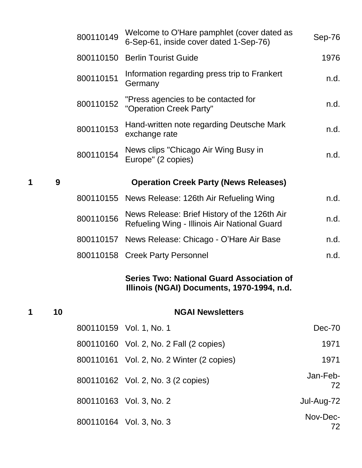|   |    | 800110149 | Welcome to O'Hare pamphlet (cover dated as<br>6-Sep-61, inside cover dated 1-Sep-76)           | Sep-76         |
|---|----|-----------|------------------------------------------------------------------------------------------------|----------------|
|   |    | 800110150 | <b>Berlin Tourist Guide</b>                                                                    | 1976           |
|   |    | 800110151 | Information regarding press trip to Frankert<br>Germany                                        | n.d.           |
|   |    | 800110152 | "Press agencies to be contacted for<br>"Operation Creek Party"                                 | n.d.           |
|   |    | 800110153 | Hand-written note regarding Deutsche Mark<br>exchange rate                                     | n.d.           |
|   |    | 800110154 | News clips "Chicago Air Wing Busy in<br>Europe" (2 copies)                                     | n.d.           |
| 1 | 9  |           | <b>Operation Creek Party (News Releases)</b>                                                   |                |
|   |    |           | 800110155 News Release: 126th Air Refueling Wing                                               | n.d.           |
|   |    | 800110156 | News Release: Brief History of the 126th Air<br>Refueling Wing - Illinois Air National Guard   | n.d.           |
|   |    |           | 800110157 News Release: Chicago - O'Hare Air Base                                              | n.d.           |
|   |    |           | 800110158 Creek Party Personnel                                                                | n.d.           |
|   |    |           | <b>Series Two: National Guard Association of</b><br>Illinois (NGAI) Documents, 1970-1994, n.d. |                |
| 1 | 10 |           | <b>NGAI Newsletters</b>                                                                        |                |
|   |    |           | 800110159 Vol. 1, No. 1                                                                        | Dec-70         |
|   |    |           | 800110160 Vol. 2, No. 2 Fall (2 copies)                                                        | 1971           |
|   |    |           | 800110161 Vol. 2, No. 2 Winter (2 copies)                                                      | 1971           |
|   |    |           | 800110162 Vol. 2, No. 3 (2 copies)                                                             | Jan-Feb-<br>72 |
|   |    |           | 800110163 Vol. 3, No. 2                                                                        | Jul-Aug-72     |
|   |    |           | 800110164 Vol. 3, No. 3                                                                        | Nov-Dec-<br>72 |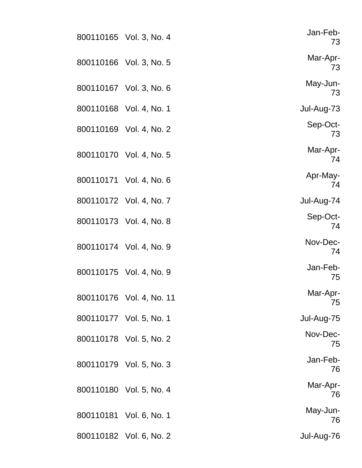| Jan-Feb-<br>73 | 800110165 Vol. 3, No. 4  |  |
|----------------|--------------------------|--|
| Mar-Apr-<br>73 | 800110166 Vol. 3, No. 5  |  |
| May-Jun-<br>73 | 800110167 Vol. 3, No. 6  |  |
| Jul-Aug-73     | 800110168 Vol. 4, No. 1  |  |
| Sep-Oct-<br>73 | 800110169 Vol. 4, No. 2  |  |
| Mar-Apr-<br>74 | 800110170 Vol. 4, No. 5  |  |
| Apr-May-<br>74 | 800110171 Vol. 4, No. 6  |  |
| Jul-Aug-74     | 800110172 Vol. 4, No. 7  |  |
| Sep-Oct-<br>74 | 800110173 Vol. 4, No. 8  |  |
| Nov-Dec-<br>74 | 800110174 Vol. 4, No. 9  |  |
| Jan-Feb-<br>75 | 800110175 Vol. 4, No. 9  |  |
| Mar-Apr-<br>75 | 800110176 Vol. 4, No. 11 |  |
| Jul-Aug-75     | 800110177 Vol. 5, No. 1  |  |
| Nov-Dec-<br>75 | 800110178 Vol. 5, No. 2  |  |
| Jan-Feb-<br>76 | 800110179 Vol. 5, No. 3  |  |
| Mar-Apr-<br>76 | 800110180 Vol. 5, No. 4  |  |
| May-Jun-<br>76 | 800110181 Vol. 6, No. 1  |  |
| Jul-Aug-76     | 800110182 Vol. 6, No. 2  |  |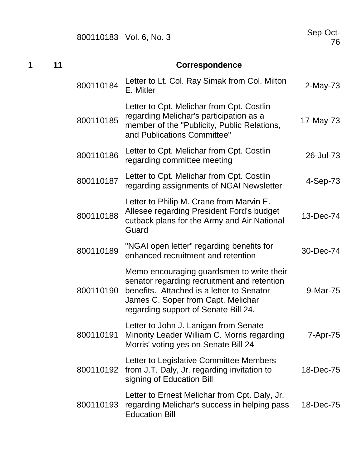Sep-Oct-<br>76

| 1<br>11 |  |           |                                                                                                                                                                                                                     |             |
|---------|--|-----------|---------------------------------------------------------------------------------------------------------------------------------------------------------------------------------------------------------------------|-------------|
|         |  | 800110184 | Letter to Lt. Col. Ray Simak from Col. Milton<br>E. Mitler                                                                                                                                                          | $2$ -May-73 |
|         |  | 800110185 | Letter to Cpt. Melichar from Cpt. Costlin<br>regarding Melichar's participation as a<br>member of the "Publicity, Public Relations,<br>and Publications Committee"                                                  | 17-May-73   |
|         |  | 800110186 | Letter to Cpt. Melichar from Cpt. Costlin<br>regarding committee meeting                                                                                                                                            | 26-Jul-73   |
|         |  | 800110187 | Letter to Cpt. Melichar from Cpt. Costlin<br>regarding assignments of NGAI Newsletter                                                                                                                               | 4-Sep-73    |
|         |  | 800110188 | Letter to Philip M. Crane from Marvin E.<br>Allesee regarding President Ford's budget<br>cutback plans for the Army and Air National<br>Guard                                                                       | 13-Dec-74   |
|         |  | 800110189 | "NGAI open letter" regarding benefits for<br>enhanced recruitment and retention                                                                                                                                     | 30-Dec-74   |
|         |  | 800110190 | Memo encouraging guardsmen to write their<br>senator regarding recruitment and retention<br>benefits. Attached is a letter to Senator<br>James C. Soper from Capt. Melichar<br>regarding support of Senate Bill 24. | 9-Mar-75    |
|         |  | 800110191 | Letter to John J. Lanigan from Senate<br>Minority Leader William C. Morris regarding<br>Morris' voting yes on Senate Bill 24                                                                                        | 7-Apr-75    |
|         |  | 800110192 | Letter to Legislative Committee Members<br>from J.T. Daly, Jr. regarding invitation to<br>signing of Education Bill                                                                                                 | 18-Dec-75   |
|         |  | 800110193 | Letter to Ernest Melichar from Cpt. Daly, Jr.<br>regarding Melichar's success in helping pass<br><b>Education Bill</b>                                                                                              | 18-Dec-75   |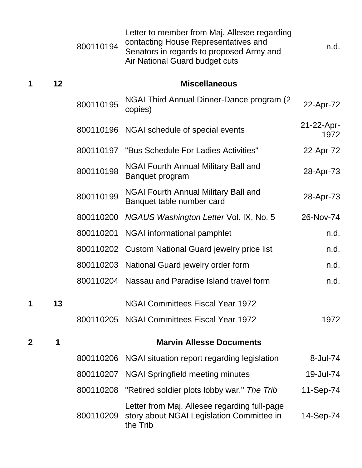|             |    | 800110194 | Letter to member from Maj. Allesee regarding<br>contacting House Representatives and<br>Senators in regards to proposed Army and<br>Air National Guard budget cuts | n.d.               |
|-------------|----|-----------|--------------------------------------------------------------------------------------------------------------------------------------------------------------------|--------------------|
| 1           | 12 |           | <b>Miscellaneous</b>                                                                                                                                               |                    |
|             |    | 800110195 | NGAI Third Annual Dinner-Dance program (2)<br>copies)                                                                                                              | 22-Apr-72          |
|             |    |           | 800110196 NGAI schedule of special events                                                                                                                          | 21-22-Apr-<br>1972 |
|             |    |           | 800110197 "Bus Schedule For Ladies Activities"                                                                                                                     | 22-Apr-72          |
|             |    | 800110198 | <b>NGAI Fourth Annual Military Ball and</b><br>Banquet program                                                                                                     | 28-Apr-73          |
|             |    | 800110199 | NGAI Fourth Annual Military Ball and<br>Banquet table number card                                                                                                  | 28-Apr-73          |
|             |    | 800110200 | NGAUS Washington Letter Vol. IX, No. 5                                                                                                                             | 26-Nov-74          |
|             |    | 800110201 | NGAI informational pamphlet                                                                                                                                        | n.d.               |
|             |    | 800110202 | <b>Custom National Guard jewelry price list</b>                                                                                                                    | n.d.               |
|             |    | 800110203 | National Guard jewelry order form                                                                                                                                  | n.d.               |
|             |    | 800110204 | Nassau and Paradise Island travel form                                                                                                                             | n.d.               |
| 1           | 13 |           | <b>NGAI Committees Fiscal Year 1972</b>                                                                                                                            |                    |
|             |    |           | 800110205 NGAI Committees Fiscal Year 1972                                                                                                                         | 1972               |
| $\mathbf 2$ | 1  |           | <b>Marvin Allesse Documents</b>                                                                                                                                    |                    |
|             |    |           | 800110206 NGAI situation report regarding legislation                                                                                                              | 8-Jul-74           |
|             |    |           | 800110207 NGAI Springfield meeting minutes                                                                                                                         | 19-Jul-74          |
|             |    |           | 800110208 "Retired soldier plots lobby war." The Trib                                                                                                              | 11-Sep-74          |
|             |    | 800110209 | Letter from Maj. Allesee regarding full-page<br>story about NGAI Legislation Committee in<br>the Trib                                                              | 14-Sep-74          |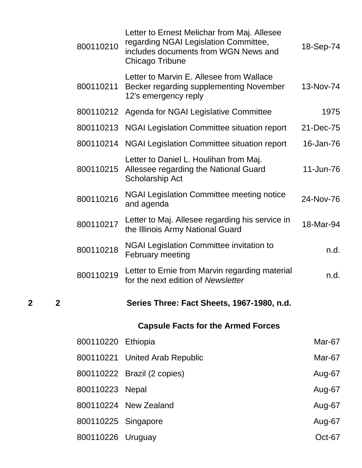| 800110210           | Letter to Ernest Melichar from Maj. Allesee<br>regarding NGAI Legislation Committee,<br>includes documents from WGN News and<br>Chicago Tribune | 18-Sep-74 |
|---------------------|-------------------------------------------------------------------------------------------------------------------------------------------------|-----------|
| 800110211           | Letter to Marvin E. Allesee from Wallace<br>Becker regarding supplementing November<br>12's emergency reply                                     | 13-Nov-74 |
| 800110212           | Agenda for NGAI Legislative Committee                                                                                                           | 1975      |
| 800110213           | NGAI Legislation Committee situation report                                                                                                     | 21-Dec-75 |
| 800110214           | <b>NGAI Legislation Committee situation report</b>                                                                                              | 16-Jan-76 |
| 800110215           | Letter to Daniel L. Houlihan from Maj.<br>Allessee regarding the National Guard<br><b>Scholarship Act</b>                                       | 11-Jun-76 |
| 800110216           | NGAI Legislation Committee meeting notice<br>and agenda                                                                                         | 24-Nov-76 |
| 800110217           | Letter to Maj. Allesee regarding his service in<br>the Illinois Army National Guard                                                             | 18-Mar-94 |
| 800110218           | <b>NGAI Legislation Committee invitation to</b><br><b>February meeting</b>                                                                      | n.d.      |
| 800110219           | Letter to Ernie from Marvin regarding material<br>for the next edition of Newsletter                                                            | n.d.      |
|                     | Series Three: Fact Sheets, 1967-1980, n.d.                                                                                                      |           |
|                     | <b>Capsule Facts for the Armed Forces</b>                                                                                                       |           |
| 800110220 Ethiopia  |                                                                                                                                                 | Mar-67    |
|                     | 800110221 United Arab Republic                                                                                                                  | Mar-67    |
|                     | 800110222 Brazil (2 copies)                                                                                                                     | Aug-67    |
| 800110223 Nepal     |                                                                                                                                                 | Aug-67    |
|                     | 800110224 New Zealand                                                                                                                           | Aug-67    |
| 800110225 Singapore |                                                                                                                                                 | Aug-67    |
| 800110226 Uruguay   |                                                                                                                                                 | Oct-67    |

**2 2 Series Three: Fact Sheets, 1967-1980, n.d.**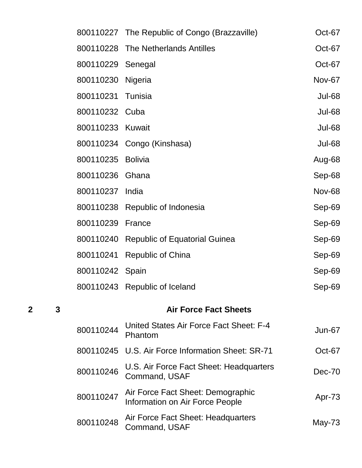| 2 | 3 |                   | <b>Air Force Fact Sheets</b>                  |               |
|---|---|-------------------|-----------------------------------------------|---------------|
|   |   |                   | 800110243 Republic of Iceland                 | Sep-69        |
|   |   | 800110242 Spain   |                                               | Sep-69        |
|   |   |                   | 800110241 Republic of China                   | Sep-69        |
|   |   |                   | 800110240 Republic of Equatorial Guinea       | Sep-69        |
|   |   | 800110239 France  |                                               | Sep-69        |
|   |   |                   | 800110238 Republic of Indonesia               | Sep-69        |
|   |   | 800110237 India   |                                               | <b>Nov-68</b> |
|   |   | 800110236 Ghana   |                                               | Sep-68        |
|   |   | 800110235 Bolivia |                                               | Aug-68        |
|   |   |                   | 800110234 Congo (Kinshasa)                    | <b>Jul-68</b> |
|   |   | 800110233 Kuwait  |                                               | <b>Jul-68</b> |
|   |   | 800110232 Cuba    |                                               | <b>Jul-68</b> |
|   |   | 800110231 Tunisia |                                               | <b>Jul-68</b> |
|   |   | 800110230 Nigeria |                                               | <b>Nov-67</b> |
|   |   | 800110229 Senegal |                                               | Oct-67        |
|   |   |                   | 800110228 The Netherlands Antilles            | Oct-67        |
|   |   |                   | 800110227 The Republic of Congo (Brazzaville) | Oct-67        |

| 800110244 | United States Air Force Fact Sheet: F-4<br>Phantom                   | Jun-67   |
|-----------|----------------------------------------------------------------------|----------|
|           | 800110245 U.S. Air Force Information Sheet: SR-71                    | Oct-67   |
| 800110246 | U.S. Air Force Fact Sheet: Headquarters<br>Command, USAF             | $Dec-70$ |
| 800110247 | Air Force Fact Sheet: Demographic<br>Information on Air Force People | Apr-73   |
| 800110248 | Air Force Fact Sheet: Headquarters<br>Command, USAF                  | May-73   |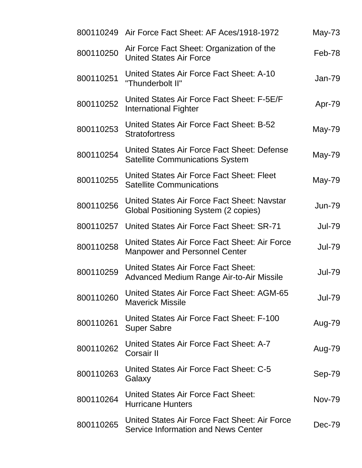|           | 800110249 Air Force Fact Sheet: AF Aces/1918-1972                                      | $May-73$      |
|-----------|----------------------------------------------------------------------------------------|---------------|
| 800110250 | Air Force Fact Sheet: Organization of the<br><b>United States Air Force</b>            | Feb-78        |
| 800110251 | United States Air Force Fact Sheet: A-10<br>"Thunderbolt II"                           | $Jan-79$      |
| 800110252 | United States Air Force Fact Sheet: F-5E/F<br><b>International Fighter</b>             | Apr-79        |
| 800110253 | United States Air Force Fact Sheet: B-52<br><b>Stratofortress</b>                      | May-79        |
| 800110254 | United States Air Force Fact Sheet: Defense<br><b>Satellite Communications System</b>  | May-79        |
| 800110255 | United States Air Force Fact Sheet: Fleet<br><b>Satellite Communications</b>           | May-79        |
| 800110256 | United States Air Force Fact Sheet: Navstar<br>Global Positioning System (2 copies)    | <b>Jun-79</b> |
| 800110257 | United States Air Force Fact Sheet: SR-71                                              | <b>Jul-79</b> |
| 800110258 | United States Air Force Fact Sheet: Air Force<br><b>Manpower and Personnel Center</b>  | <b>Jul-79</b> |
| 800110259 | <b>United States Air Force Fact Sheet:</b><br>Advanced Medium Range Air-to-Air Missile | <b>Jul-79</b> |
| 800110260 | United States Air Force Fact Sheet: AGM-65<br><b>Maverick Missile</b>                  | <b>Jul-79</b> |
| 800110261 | United States Air Force Fact Sheet: F-100<br><b>Super Sabre</b>                        | Aug-79        |
| 800110262 | United States Air Force Fact Sheet: A-7<br>Corsair II                                  | Aug-79        |
| 800110263 | United States Air Force Fact Sheet: C-5<br>Galaxy                                      | Sep-79        |
| 800110264 | United States Air Force Fact Sheet:<br><b>Hurricane Hunters</b>                        | <b>Nov-79</b> |
| 800110265 | United States Air Force Fact Sheet: Air Force<br>Service Information and News Center   | Dec-79        |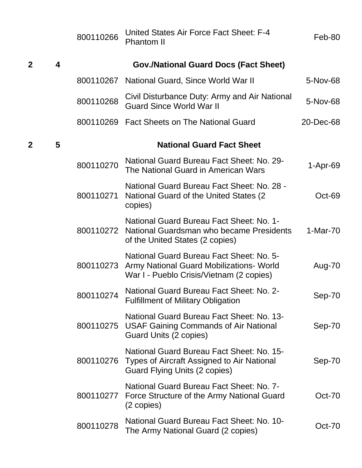|              |   | 800110266 | United States Air Force Fact Sheet: F-4<br><b>Phantom II</b>                                                                               | Feb-80        |
|--------------|---|-----------|--------------------------------------------------------------------------------------------------------------------------------------------|---------------|
| $\mathbf{2}$ | 4 |           | <b>Gov./National Guard Docs (Fact Sheet)</b>                                                                                               |               |
|              |   | 800110267 | National Guard, Since World War II                                                                                                         | 5-Nov-68      |
|              |   | 800110268 | Civil Disturbance Duty: Army and Air National<br><b>Guard Since World War II</b>                                                           | 5-Nov-68      |
|              |   |           | 800110269 Fact Sheets on The National Guard                                                                                                | 20-Dec-68     |
| $\mathbf{2}$ | 5 |           | <b>National Guard Fact Sheet</b>                                                                                                           |               |
|              |   | 800110270 | National Guard Bureau Fact Sheet: No. 29-<br>The National Guard in American Wars                                                           | $1-Apr-69$    |
|              |   | 800110271 | National Guard Bureau Fact Sheet: No. 28 -<br>National Guard of the United States (2)<br>copies)                                           | Oct-69        |
|              |   | 800110272 | National Guard Bureau Fact Sheet: No. 1-<br>National Guardsman who became Presidents<br>of the United States (2 copies)                    | 1-Mar-70      |
|              |   |           | National Guard Bureau Fact Sheet: No. 5-<br>800110273 Army National Guard Mobilizations- World<br>War I - Pueblo Crisis/Vietnam (2 copies) | Aug-70        |
|              |   | 800110274 | National Guard Bureau Fact Sheet: No. 2-<br><b>Fulfillment of Military Obligation</b>                                                      | Sep-70        |
|              |   | 800110275 | National Guard Bureau Fact Sheet: No. 13-<br><b>USAF Gaining Commands of Air National</b><br>Guard Units (2 copies)                        | Sep-70        |
|              |   | 800110276 | National Guard Bureau Fact Sheet: No. 15-<br>Types of Aircraft Assigned to Air National<br>Guard Flying Units (2 copies)                   | Sep-70        |
|              |   | 800110277 | National Guard Bureau Fact Sheet: No. 7-<br>Force Structure of the Army National Guard<br>(2 copies)                                       | <b>Oct-70</b> |
|              |   | 800110278 | National Guard Bureau Fact Sheet: No. 10-<br>The Army National Guard (2 copies)                                                            | <b>Oct-70</b> |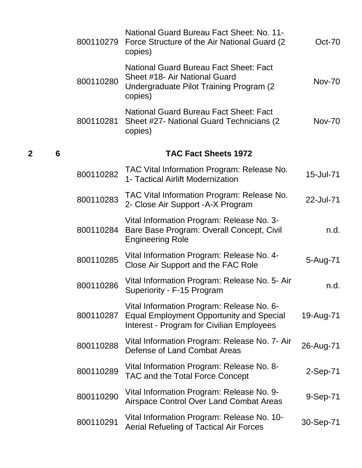|   |   | 800110279 | National Guard Bureau Fact Sheet: No. 11-<br>Force Structure of the Air National Guard (2)<br>copies)                                     | $Oct-70$      |
|---|---|-----------|-------------------------------------------------------------------------------------------------------------------------------------------|---------------|
|   |   | 800110280 | National Guard Bureau Fact Sheet: Fact<br>Sheet #18- Air National Guard<br>Undergraduate Pilot Training Program (2<br>copies)             | <b>Nov-70</b> |
|   |   | 800110281 | <b>National Guard Bureau Fact Sheet: Fact</b><br>Sheet #27- National Guard Technicians (2)<br>copies)                                     | <b>Nov-70</b> |
| 2 | 6 |           | <b>TAC Fact Sheets 1972</b>                                                                                                               |               |
|   |   | 800110282 | TAC Vital Information Program: Release No.<br>1- Tactical Airlift Modernization                                                           | 15-Jul-71     |
|   |   | 800110283 | TAC Vital Information Program: Release No.<br>2- Close Air Support - A-X Program                                                          | 22-Jul-71     |
|   |   | 800110284 | Vital Information Program: Release No. 3-<br>Bare Base Program: Overall Concept, Civil<br><b>Engineering Role</b>                         | n.d.          |
|   |   | 800110285 | Vital Information Program: Release No. 4-<br>Close Air Support and the FAC Role                                                           | 5-Aug-71      |
|   |   | 800110286 | Vital Information Program: Release No. 5- Air<br>Superiority - F-15 Program                                                               | n.d.          |
|   |   | 800110287 | Vital Information Program: Release No. 6-<br><b>Equal Employment Opportunity and Special</b><br>Interest - Program for Civilian Employees | 19-Aug-71     |
|   |   | 800110288 | Vital Information Program: Release No. 7- Air<br>Defense of Land Combat Areas                                                             | 26-Aug-71     |
|   |   | 800110289 | Vital Information Program: Release No. 8-<br>TAC and the Total Force Concept                                                              | 2-Sep-71      |
|   |   | 800110290 | Vital Information Program: Release No. 9-<br>Airspace Control Over Land Combat Areas                                                      | 9-Sep-71      |
|   |   | 800110291 | Vital Information Program: Release No. 10-<br><b>Aerial Refueling of Tactical Air Forces</b>                                              | 30-Sep-71     |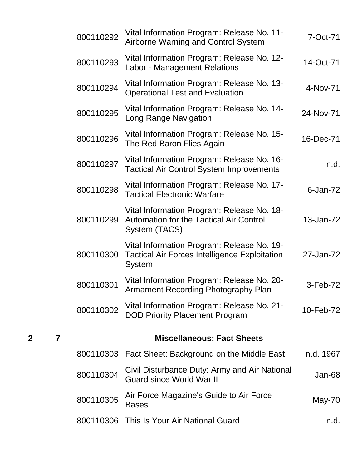| 7-Oct-71       | Vital Information Program: Release No. 11-<br>Airborne Warning and Control System                                   | 800110292 |
|----------------|---------------------------------------------------------------------------------------------------------------------|-----------|
| 14-Oct-71      | Vital Information Program: Release No. 12-<br>Labor - Management Relations                                          | 800110293 |
| 4-Nov-71       | Vital Information Program: Release No. 13-<br><b>Operational Test and Evaluation</b>                                | 800110294 |
| 24-Nov-71      | Vital Information Program: Release No. 14-<br>Long Range Navigation                                                 | 800110295 |
| 16-Dec-71      | Vital Information Program: Release No. 15-<br>The Red Baron Flies Again                                             | 800110296 |
| n.d.           | Vital Information Program: Release No. 16-<br><b>Tactical Air Control System Improvements</b>                       | 800110297 |
| $6$ -Jan- $72$ | Vital Information Program: Release No. 17-<br><b>Tactical Electronic Warfare</b>                                    | 800110298 |
| 13-Jan-72      | Vital Information Program: Release No. 18-<br><b>Automation for the Tactical Air Control</b><br>System (TACS)       | 800110299 |
| 27-Jan-72      | Vital Information Program: Release No. 19-<br><b>Tactical Air Forces Intelligence Exploitation</b><br><b>System</b> | 800110300 |
| 3-Feb-72       | Vital Information Program: Release No. 20-<br>Armament Recording Photography Plan                                   | 800110301 |
| 10-Feb-72      | Vital Information Program: Release No. 21-<br><b>DOD Priority Placement Program</b>                                 | 800110302 |
|                | <b>Miscellaneous: Fact Sheets</b>                                                                                   |           |
| n.d. 1967      | Fact Sheet: Background on the Middle East                                                                           | 800110303 |
| Jan-68         | Civil Disturbance Duty: Army and Air National<br><b>Guard since World War II</b>                                    | 800110304 |
| May-70         | Air Force Magazine's Guide to Air Force<br><b>Bases</b>                                                             | 800110305 |
| n.d.           | This Is Your Air National Guard                                                                                     | 800110306 |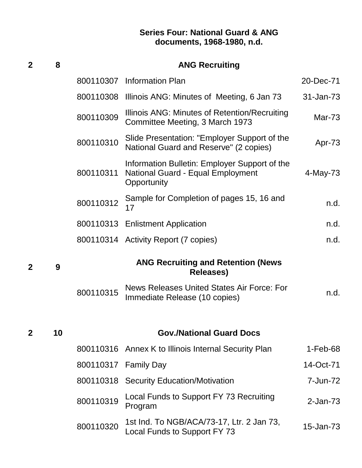#### **Series Four: National Guard & ANG documents, 1968-1980, n.d.**

| 2 | 8  |           | <b>ANG Recruiting</b>                                                                                    |               |
|---|----|-----------|----------------------------------------------------------------------------------------------------------|---------------|
|   |    |           | 800110307 Information Plan                                                                               | 20-Dec-71     |
|   |    | 800110308 | Illinois ANG: Minutes of Meeting, 6 Jan 73                                                               | 31-Jan-73     |
|   |    | 800110309 | Illinois ANG: Minutes of Retention/Recruiting<br>Committee Meeting, 3 March 1973                         | <b>Mar-73</b> |
|   |    | 800110310 | Slide Presentation: "Employer Support of the<br>National Guard and Reserve" (2 copies)                   | Apr-73        |
|   |    | 800110311 | Information Bulletin: Employer Support of the<br><b>National Guard - Equal Employment</b><br>Opportunity | 4-May-73      |
|   |    | 800110312 | Sample for Completion of pages 15, 16 and<br>17                                                          | n.d.          |
|   |    |           | 800110313 Enlistment Application                                                                         | n.d.          |
|   |    |           | 800110314 Activity Report (7 copies)                                                                     | n.d.          |
| 2 | 9  |           | <b>ANG Recruiting and Retention (News</b><br><b>Releases)</b>                                            |               |
|   |    | 800110315 | News Releases United States Air Force: For<br>Immediate Release (10 copies)                              | n.d.          |
|   |    |           |                                                                                                          |               |
| 2 | 10 |           | <b>Gov./National Guard Docs</b>                                                                          |               |
|   |    |           | 800110316 Annex K to Illinois Internal Security Plan                                                     | $1-Feb-68$    |
|   |    |           | 800110317 Family Day                                                                                     | 14-Oct-71     |
|   |    |           | 800110318 Security Education/Motivation                                                                  | 7-Jun-72      |
|   |    | 800110319 | Local Funds to Support FY 73 Recruiting<br>Program                                                       | $2$ -Jan-73   |
|   |    | 800110320 | 1st Ind. To NGB/ACA/73-17, Ltr. 2 Jan 73,<br>Local Funds to Support FY 73                                | 15-Jan-73     |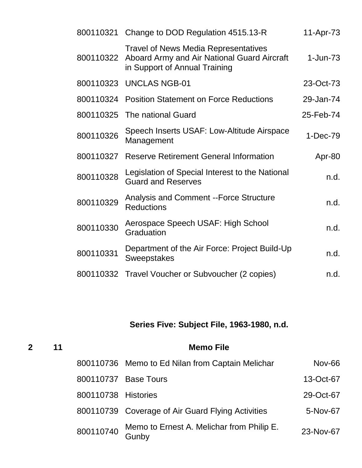|           | 800110321 Change to DOD Regulation 4515.13-R                                                                                | 11-Apr-73  |
|-----------|-----------------------------------------------------------------------------------------------------------------------------|------------|
| 800110322 | <b>Travel of News Media Representatives</b><br>Aboard Army and Air National Guard Aircraft<br>in Support of Annual Training | $1-Jun-73$ |
| 800110323 | <b>UNCLAS NGB-01</b>                                                                                                        | 23-Oct-73  |
|           | 800110324 Position Statement on Force Reductions                                                                            | 29-Jan-74  |
| 800110325 | The national Guard                                                                                                          | 25-Feb-74  |
| 800110326 | Speech Inserts USAF: Low-Altitude Airspace<br>Management                                                                    | 1-Dec-79   |
| 800110327 | <b>Reserve Retirement General Information</b>                                                                               | Apr-80     |
| 800110328 | Legislation of Special Interest to the National<br><b>Guard and Reserves</b>                                                | n.d.       |
| 800110329 | <b>Analysis and Comment --Force Structure</b><br><b>Reductions</b>                                                          | n.d.       |
| 800110330 | Aerospace Speech USAF: High School<br>Graduation                                                                            | n.d.       |
| 800110331 | Department of the Air Force: Project Build-Up<br><b>Sweepstakes</b>                                                         | n.d.       |
| 800110332 | Travel Voucher or Subvoucher (2 copies)                                                                                     | n.d.       |

# **Series Five: Subject File, 1963-1980, n.d.**

| $\overline{2}$ | 11 |                     | <b>Memo File</b>                                   |               |
|----------------|----|---------------------|----------------------------------------------------|---------------|
|                |    |                     | 800110736 Memo to Ed Nilan from Captain Melichar   | <b>Nov-66</b> |
|                |    |                     | 800110737 Base Tours                               | 13-Oct-67     |
|                |    | 800110738 Histories |                                                    | 29-Oct-67     |
|                |    |                     | 800110739 Coverage of Air Guard Flying Activities  | 5-Nov-67      |
|                |    | 800110740           | Memo to Ernest A. Melichar from Philip E.<br>Gunby | 23-Nov-67     |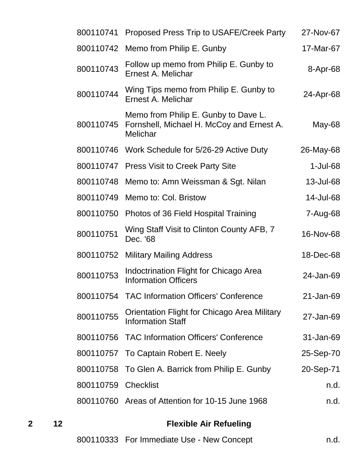| 800110741 | Proposed Press Trip to USAFE/Creek Party                                                      | 27-Nov-67   |
|-----------|-----------------------------------------------------------------------------------------------|-------------|
| 800110742 | Memo from Philip E. Gunby                                                                     | 17-Mar-67   |
| 800110743 | Follow up memo from Philip E. Gunby to<br>Ernest A. Melichar                                  | 8-Apr-68    |
| 800110744 | Wing Tips memo from Philip E. Gunby to<br>Ernest A. Melichar                                  | 24-Apr-68   |
| 800110745 | Memo from Philip E. Gunby to Dave L.<br>Fornshell, Michael H. McCoy and Ernest A.<br>Melichar | May-68      |
|           | 800110746 Work Schedule for 5/26-29 Active Duty                                               | 26-May-68   |
| 800110747 | <b>Press Visit to Creek Party Site</b>                                                        | $1$ -Jul-68 |
| 800110748 | Memo to: Amn Weissman & Sgt. Nilan                                                            | 13-Jul-68   |
| 800110749 | Memo to: Col. Bristow                                                                         | 14-Jul-68   |
| 800110750 | Photos of 36 Field Hospital Training                                                          | 7-Aug-68    |
| 800110751 | Wing Staff Visit to Clinton County AFB, 7<br>Dec. '68                                         | 16-Nov-68   |
| 800110752 | <b>Military Mailing Address</b>                                                               | 18-Dec-68   |
| 800110753 | <b>Indoctrination Flight for Chicago Area</b><br><b>Information Officers</b>                  | 24-Jan-69   |
|           | 800110754 TAC Information Officers' Conference                                                | 21-Jan-69   |
| 800110755 | <b>Orientation Flight for Chicago Area Military</b><br><b>Information Staff</b>               | 27-Jan-69   |
|           | 800110756 TAC Information Officers' Conference                                                | 31-Jan-69   |
|           | 800110757 To Captain Robert E. Neely                                                          | 25-Sep-70   |
|           | 800110758 To Glen A. Barrick from Philip E. Gunby                                             | 20-Sep-71   |
| 800110759 | <b>Checklist</b>                                                                              | n.d.        |
|           | 800110760 Areas of Attention for 10-15 June 1968                                              | n.d.        |
|           |                                                                                               |             |

# **2 12 Flexible Air Refueling**

|  |  | 800110333 For Immediate Use - New Concept | n.d. |
|--|--|-------------------------------------------|------|
|--|--|-------------------------------------------|------|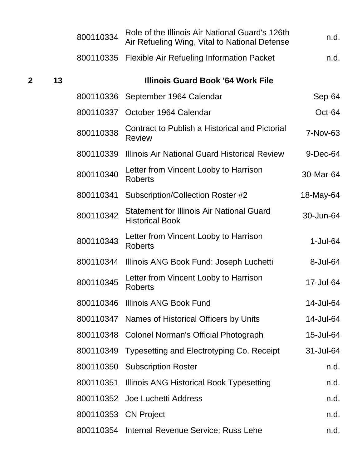|   |    | 800110334            | Role of the Illinois Air National Guard's 126th<br>Air Refueling Wing, Vital to National Defense | n.d.        |
|---|----|----------------------|--------------------------------------------------------------------------------------------------|-------------|
|   |    |                      | 800110335 Flexible Air Refueling Information Packet                                              | n.d.        |
| 2 | 13 |                      | <b>Illinois Guard Book '64 Work File</b>                                                         |             |
|   |    |                      | 800110336 September 1964 Calendar                                                                | Sep-64      |
|   |    | 800110337            | October 1964 Calendar                                                                            | Oct-64      |
|   |    | 800110338            | <b>Contract to Publish a Historical and Pictorial</b><br><b>Review</b>                           | 7-Nov-63    |
|   |    | 800110339            | Illinois Air National Guard Historical Review                                                    | $9$ -Dec-64 |
|   |    | 800110340            | Letter from Vincent Looby to Harrison<br><b>Roberts</b>                                          | 30-Mar-64   |
|   |    | 800110341            | Subscription/Collection Roster #2                                                                | 18-May-64   |
|   |    | 800110342            | <b>Statement for Illinois Air National Guard</b><br><b>Historical Book</b>                       | 30-Jun-64   |
|   |    | 800110343            | Letter from Vincent Looby to Harrison<br><b>Roberts</b>                                          | $1-Jul-64$  |
|   |    | 800110344            | Illinois ANG Book Fund: Joseph Luchetti                                                          | 8-Jul-64    |
|   |    | 800110345            | Letter from Vincent Looby to Harrison<br><b>Roberts</b>                                          | 17-Jul-64   |
|   |    |                      | 800110346 Illinois ANG Book Fund                                                                 | 14-Jul-64   |
|   |    |                      | 800110347 Names of Historical Officers by Units                                                  | 14-Jul-64   |
|   |    |                      | 800110348 Colonel Norman's Official Photograph                                                   | 15-Jul-64   |
|   |    | 800110349            | Typesetting and Electrotyping Co. Receipt                                                        | 31-Jul-64   |
|   |    |                      | 800110350 Subscription Roster                                                                    | n.d.        |
|   |    |                      | 800110351 Illinois ANG Historical Book Typesetting                                               | n.d.        |
|   |    |                      | 800110352 Joe Luchetti Address                                                                   | n.d.        |
|   |    | 800110353 CN Project |                                                                                                  | n.d.        |
|   |    |                      | 800110354 Internal Revenue Service: Russ Lehe                                                    | n.d.        |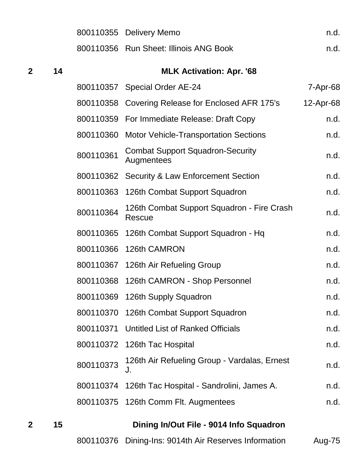|                |    |           | 800110355 Delivery Memo                               | n.d.      |
|----------------|----|-----------|-------------------------------------------------------|-----------|
|                |    |           | 800110356 Run Sheet: Illinois ANG Book                | n.d.      |
| $\overline{2}$ | 14 |           | <b>MLK Activation: Apr. '68</b>                       |           |
|                |    |           | 800110357 Special Order AE-24                         | 7-Apr-68  |
|                |    |           | 800110358 Covering Release for Enclosed AFR 175's     | 12-Apr-68 |
|                |    |           | 800110359 For Immediate Release: Draft Copy           | n.d.      |
|                |    | 800110360 | <b>Motor Vehicle-Transportation Sections</b>          | n.d.      |
|                |    | 800110361 | <b>Combat Support Squadron-Security</b><br>Augmentees | n.d.      |
|                |    | 800110362 | <b>Security &amp; Law Enforcement Section</b>         | n.d.      |
|                |    | 800110363 | 126th Combat Support Squadron                         | n.d.      |
|                |    | 800110364 | 126th Combat Support Squadron - Fire Crash<br>Rescue  | n.d.      |
|                |    | 800110365 | 126th Combat Support Squadron - Hq                    | n.d.      |
|                |    | 800110366 | 126th CAMRON                                          | n.d.      |
|                |    |           | 800110367 126th Air Refueling Group                   | n.d.      |
|                |    |           | 800110368 126th CAMRON - Shop Personnel               | n.d.      |
|                |    |           | 800110369 126th Supply Squadron                       | n.d.      |
|                |    |           | 800110370 126th Combat Support Squadron               | n.d.      |
|                |    | 800110371 | <b>Untitled List of Ranked Officials</b>              | n.d.      |
|                |    |           | 800110372 126th Tac Hospital                          | n.d.      |
|                |    | 800110373 | 126th Air Refueling Group - Vardalas, Ernest<br>J.    | n.d.      |
|                |    | 800110374 | 126th Tac Hospital - Sandrolini, James A.             | n.d.      |
|                |    |           | 800110375 126th Comm Flt. Augmentees                  | n.d.      |
|                |    |           |                                                       |           |

 **15 Dining In/Out File - 9014 Info Squadron** Dining-Ins: 9014th Air Reserves Information Aug-75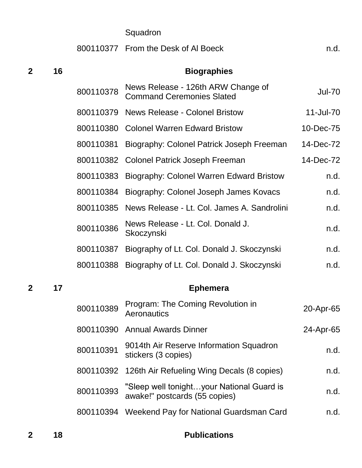|   |    |           | Squadron                                                                   |               |
|---|----|-----------|----------------------------------------------------------------------------|---------------|
|   |    |           | 800110377 From the Desk of Al Boeck                                        | n.d.          |
| 2 | 16 |           | <b>Biographies</b>                                                         |               |
|   |    | 800110378 | News Release - 126th ARW Change of<br><b>Command Ceremonies Slated</b>     | <b>Jul-70</b> |
|   |    | 800110379 | <b>News Release - Colonel Bristow</b>                                      | 11-Jul-70     |
|   |    |           | 800110380 Colonel Warren Edward Bristow                                    | 10-Dec-75     |
|   |    | 800110381 | Biography: Colonel Patrick Joseph Freeman                                  | 14-Dec-72     |
|   |    |           | 800110382 Colonel Patrick Joseph Freeman                                   | 14-Dec-72     |
|   |    | 800110383 | Biography: Colonel Warren Edward Bristow                                   | n.d.          |
|   |    | 800110384 | Biography: Colonel Joseph James Kovacs                                     | n.d.          |
|   |    | 800110385 | News Release - Lt. Col. James A. Sandrolini                                | n.d.          |
|   |    | 800110386 | News Release - Lt. Col. Donald J.<br>Skoczynski                            | n.d.          |
|   |    | 800110387 | Biography of Lt. Col. Donald J. Skoczynski                                 | n.d.          |
|   |    | 800110388 | Biography of Lt. Col. Donald J. Skoczynski                                 | n.d.          |
| 2 | 17 |           | <b>Ephemera</b>                                                            |               |
|   |    | 800110389 | Program: The Coming Revolution in<br>Aeronautics                           | 20-Apr-65     |
|   |    | 800110390 | <b>Annual Awards Dinner</b>                                                | 24-Apr-65     |
|   |    | 800110391 | 9014th Air Reserve Information Squadron<br>stickers (3 copies)             | n.d.          |
|   |    | 800110392 | 126th Air Refueling Wing Decals (8 copies)                                 | n.d.          |
|   |    | 800110393 | "Sleep well tonightyour National Guard is<br>awake!" postcards (55 copies) | n.d.          |
|   |    |           | 800110394 Weekend Pay for National Guardsman Card                          | n.d.          |
|   |    |           |                                                                            |               |

**18 Publications**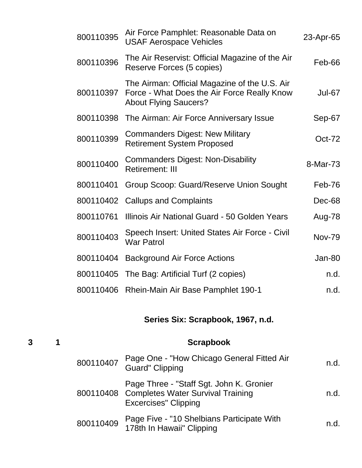| 800110395 | Air Force Pamphlet: Reasonable Data on<br><b>USAF Aerospace Vehicles</b>                                                     | 23-Apr-65     |
|-----------|------------------------------------------------------------------------------------------------------------------------------|---------------|
| 800110396 | The Air Reservist: Official Magazine of the Air<br>Reserve Forces (5 copies)                                                 | Feb-66        |
| 800110397 | The Airman: Official Magazine of the U.S. Air<br>Force - What Does the Air Force Really Know<br><b>About Flying Saucers?</b> | <b>Jul-67</b> |
| 800110398 | The Airman: Air Force Anniversary Issue                                                                                      | Sep-67        |
| 800110399 | <b>Commanders Digest: New Military</b><br><b>Retirement System Proposed</b>                                                  | <b>Oct-72</b> |
| 800110400 | <b>Commanders Digest: Non-Disability</b><br><b>Retirement: III</b>                                                           | 8-Mar-73      |
| 800110401 | Group Scoop: Guard/Reserve Union Sought                                                                                      | Feb-76        |
| 800110402 | <b>Callups and Complaints</b>                                                                                                | Dec-68        |
| 800110761 | Illinois Air National Guard - 50 Golden Years                                                                                | Aug-78        |
| 800110403 | Speech Insert: United States Air Force - Civil<br><b>War Patrol</b>                                                          | <b>Nov-79</b> |
| 800110404 | <b>Background Air Force Actions</b>                                                                                          | Jan-80        |
| 800110405 | The Bag: Artificial Turf (2 copies)                                                                                          | n.d.          |
| 800110406 | Rhein-Main Air Base Pamphlet 190-1                                                                                           | n.d.          |

**Series Six: Scrapbook, 1967, n.d.**

| 3 |           | <b>Scrapbook</b>                                                                                                        |      |
|---|-----------|-------------------------------------------------------------------------------------------------------------------------|------|
|   | 800110407 | Page One - "How Chicago General Fitted Air<br><b>Guard" Clipping</b>                                                    | n.d. |
|   |           | Page Three - "Staff Sgt. John K. Gronier<br>800110408 Completes Water Survival Training<br><b>Excercises</b> " Clipping | n.d. |
|   | 800110409 | Page Five - "10 Shelbians Participate With<br>178th In Hawaii" Clipping                                                 | n.d. |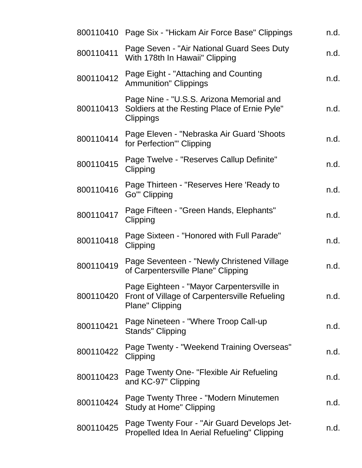|           | 800110410 Page Six - "Hickam Air Force Base" Clippings                                                               | n.d. |
|-----------|----------------------------------------------------------------------------------------------------------------------|------|
| 800110411 | Page Seven - "Air National Guard Sees Duty<br>With 178th In Hawaii" Clipping                                         | n.d. |
| 800110412 | Page Eight - "Attaching and Counting<br><b>Ammunition" Clippings</b>                                                 | n.d. |
| 800110413 | Page Nine - "U.S.S. Arizona Memorial and<br>Soldiers at the Resting Place of Ernie Pyle"<br>Clippings                | n.d. |
| 800110414 | Page Eleven - "Nebraska Air Guard 'Shoots<br>for Perfection'" Clipping                                               | n.d. |
| 800110415 | Page Twelve - "Reserves Callup Definite"<br>Clipping                                                                 | n.d. |
| 800110416 | Page Thirteen - "Reserves Here 'Ready to<br>Go'" Clipping                                                            | n.d. |
| 800110417 | Page Fifteen - "Green Hands, Elephants"<br>Clipping                                                                  | n.d. |
| 800110418 | Page Sixteen - "Honored with Full Parade"<br>Clipping                                                                | n.d. |
| 800110419 | Page Seventeen - "Newly Christened Village<br>of Carpentersville Plane" Clipping                                     | n.d. |
| 800110420 | Page Eighteen - "Mayor Carpentersville in<br><b>Front of Village of Carpentersville Refueling</b><br>Plane" Clipping | n.d. |
| 800110421 | Page Nineteen - "Where Troop Call-up<br><b>Stands" Clipping</b>                                                      | n.d. |
| 800110422 | Page Twenty - "Weekend Training Overseas"<br>Clipping                                                                | n.d. |
| 800110423 | Page Twenty One- "Flexible Air Refueling<br>and KC-97" Clipping                                                      | n.d. |
| 800110424 | Page Twenty Three - "Modern Minutemen"<br>Study at Home" Clipping                                                    | n.d. |
| 800110425 | Page Twenty Four - "Air Guard Develops Jet-<br>Propelled Idea In Aerial Refueling" Clipping                          | n.d. |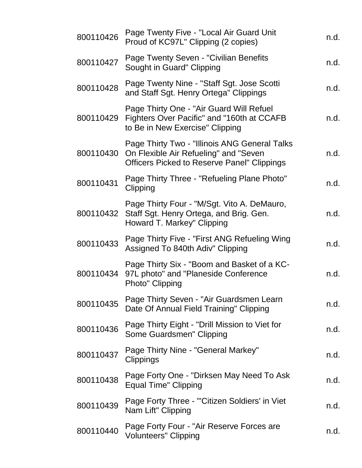| 800110426 | Page Twenty Five - "Local Air Guard Unit<br>Proud of KC97L" Clipping (2 copies)                                                              | n.d. |
|-----------|----------------------------------------------------------------------------------------------------------------------------------------------|------|
| 800110427 | Page Twenty Seven - "Civilian Benefits<br>Sought in Guard" Clipping                                                                          | n.d. |
| 800110428 | Page Twenty Nine - "Staff Sgt. Jose Scotti<br>and Staff Sgt. Henry Ortega" Clippings                                                         | n.d. |
| 800110429 | Page Thirty One - "Air Guard Will Refuel<br>Fighters Over Pacific" and "160th at CCAFB<br>to Be in New Exercise" Clipping                    | n.d. |
| 800110430 | Page Thirty Two - "Illinois ANG General Talks<br>On Flexible Air Refueling" and "Seven<br><b>Officers Picked to Reserve Panel" Clippings</b> | n.d. |
| 800110431 | Page Thirty Three - "Refueling Plane Photo"<br>Clipping                                                                                      | n.d. |
|           | Page Thirty Four - "M/Sgt. Vito A. DeMauro,<br>800110432 Staff Sgt. Henry Ortega, and Brig. Gen.<br>Howard T. Markey" Clipping               | n.d. |
| 800110433 | Page Thirty Five - "First ANG Refueling Wing<br>Assigned To 840th Adiv" Clipping                                                             | n.d. |
| 800110434 | Page Thirty Six - "Boom and Basket of a KC-<br>97L photo" and "Planeside Conference<br>Photo" Clipping                                       | n.d. |
| 800110435 | Page Thirty Seven - "Air Guardsmen Learn<br>Date Of Annual Field Training" Clipping                                                          | n.d. |
| 800110436 | Page Thirty Eight - "Drill Mission to Viet for<br>Some Guardsmen" Clipping                                                                   | n.d. |
| 800110437 | Page Thirty Nine - "General Markey"<br>Clippings                                                                                             | n.d. |
| 800110438 | Page Forty One - "Dirksen May Need To Ask<br><b>Equal Time" Clipping</b>                                                                     | n.d. |
| 800110439 | Page Forty Three - "Citizen Soldiers' in Viet<br>Nam Lift" Clipping                                                                          | n.d. |
| 800110440 | Page Forty Four - "Air Reserve Forces are<br><b>Volunteers" Clipping</b>                                                                     | n.d. |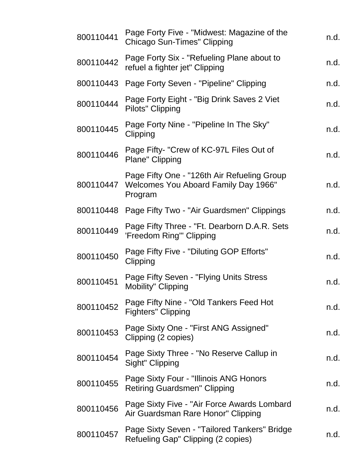| 800110441 | Page Forty Five - "Midwest: Magazine of the<br>Chicago Sun-Times" Clipping                     | n.d. |
|-----------|------------------------------------------------------------------------------------------------|------|
| 800110442 | Page Forty Six - "Refueling Plane about to<br>refuel a fighter jet" Clipping                   | n.d. |
| 800110443 | Page Forty Seven - "Pipeline" Clipping                                                         | n.d. |
| 800110444 | Page Forty Eight - "Big Drink Saves 2 Viet<br>Pilots" Clipping                                 | n.d. |
| 800110445 | Page Forty Nine - "Pipeline In The Sky"<br>Clipping                                            | n.d. |
| 800110446 | Page Fifty- "Crew of KC-97L Files Out of<br>Plane" Clipping                                    | n.d. |
| 800110447 | Page Fifty One - "126th Air Refueling Group<br>Welcomes You Aboard Family Day 1966"<br>Program | n.d. |
|           | 800110448 Page Fifty Two - "Air Guardsmen" Clippings                                           | n.d. |
| 800110449 | Page Fifty Three - "Ft. Dearborn D.A.R. Sets<br>'Freedom Ring'" Clipping                       | n.d. |
| 800110450 | Page Fifty Five - "Diluting GOP Efforts"<br>Clipping                                           | n.d. |
| 800110451 | Page Fifty Seven - "Flying Units Stress<br><b>Mobility" Clipping</b>                           | n.d. |
| 800110452 | Page Fifty Nine - "Old Tankers Feed Hot<br><b>Fighters" Clipping</b>                           | n.d. |
| 800110453 | Page Sixty One - "First ANG Assigned"<br>Clipping (2 copies)                                   | n.d. |
| 800110454 | Page Sixty Three - "No Reserve Callup in<br>Sight" Clipping                                    | n.d. |
| 800110455 | Page Sixty Four - "Illinois ANG Honors<br><b>Retiring Guardsmen" Clipping</b>                  | n.d. |
| 800110456 | Page Sixty Five - "Air Force Awards Lombard<br>Air Guardsman Rare Honor" Clipping              | n.d. |
| 800110457 | Page Sixty Seven - "Tailored Tankers" Bridge<br>Refueling Gap" Clipping (2 copies)             | n.d. |
|           |                                                                                                |      |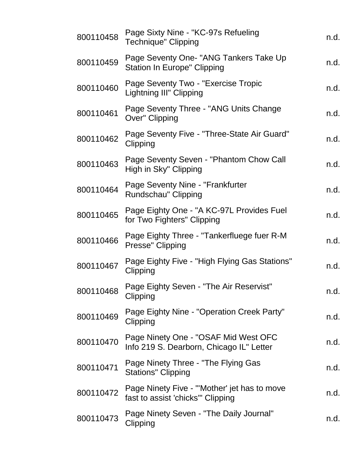| 800110458 | Page Sixty Nine - "KC-97s Refueling<br><b>Technique" Clipping</b>                 | n.d. |
|-----------|-----------------------------------------------------------------------------------|------|
| 800110459 | Page Seventy One- "ANG Tankers Take Up<br><b>Station In Europe" Clipping</b>      | n.d. |
| 800110460 | Page Seventy Two - "Exercise Tropic<br><b>Lightning III" Clipping</b>             | n.d. |
| 800110461 | Page Seventy Three - "ANG Units Change"<br>Over" Clipping                         | n.d. |
| 800110462 | Page Seventy Five - "Three-State Air Guard"<br>Clipping                           | n.d. |
| 800110463 | Page Seventy Seven - "Phantom Chow Call<br>High in Sky" Clipping                  | n.d. |
| 800110464 | Page Seventy Nine - "Frankfurter"<br>Rundschau" Clipping                          | n.d. |
| 800110465 | Page Eighty One - "A KC-97L Provides Fuel<br>for Two Fighters" Clipping           | n.d. |
| 800110466 | Page Eighty Three - "Tankerfluege fuer R-M<br>Presse" Clipping                    | n.d. |
| 800110467 | Page Eighty Five - "High Flying Gas Stations"<br>Clipping                         | n.d. |
| 800110468 | Page Eighty Seven - "The Air Reservist"<br>Clipping                               | n.d. |
| 800110469 | Page Eighty Nine - "Operation Creek Party"<br>Clipping                            | n.d. |
| 800110470 | Page Ninety One - "OSAF Mid West OFC<br>Info 219 S. Dearborn, Chicago IL" Letter  | n.d. |
| 800110471 | Page Ninety Three - "The Flying Gas<br><b>Stations" Clipping</b>                  | n.d. |
| 800110472 | Page Ninety Five - "'Mother' jet has to move<br>fast to assist 'chicks'" Clipping | n.d. |
| 800110473 | Page Ninety Seven - "The Daily Journal"<br>Clipping                               | n.d. |
|           |                                                                                   |      |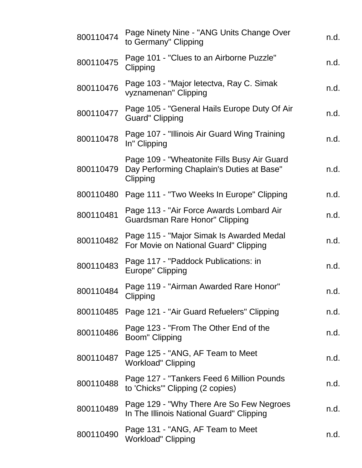| 800110474 | Page Ninety Nine - "ANG Units Change Over<br>to Germany" Clipping                                    | n.d. |
|-----------|------------------------------------------------------------------------------------------------------|------|
| 800110475 | Page 101 - "Clues to an Airborne Puzzle"<br>Clipping                                                 | n.d. |
| 800110476 | Page 103 - "Major letectva, Ray C. Simak<br>vyznamenan" Clipping                                     | n.d. |
| 800110477 | Page 105 - "General Hails Europe Duty Of Air<br><b>Guard</b> " Clipping                              | n.d. |
| 800110478 | Page 107 - "Illinois Air Guard Wing Training<br>In" Clipping                                         | n.d. |
| 800110479 | Page 109 - "Wheatonite Fills Busy Air Guard<br>Day Performing Chaplain's Duties at Base"<br>Clipping | n.d. |
| 800110480 | Page 111 - "Two Weeks In Europe" Clipping                                                            | n.d. |
| 800110481 | Page 113 - "Air Force Awards Lombard Air<br>Guardsman Rare Honor" Clipping                           | n.d. |
| 800110482 | Page 115 - "Major Simak Is Awarded Medal<br>For Movie on National Guard" Clipping                    | n.d. |
| 800110483 | Page 117 - "Paddock Publications: in<br>Europe" Clipping                                             | n.d. |
| 800110484 | Page 119 - "Airman Awarded Rare Honor"<br>Clipping                                                   | n.d. |
| 800110485 | Page 121 - "Air Guard Refuelers" Clipping                                                            | n.d. |
| 800110486 | Page 123 - "From The Other End of the<br>Boom" Clipping                                              | n.d. |
| 800110487 | Page 125 - "ANG, AF Team to Meet<br><b>Workload" Clipping</b>                                        | n.d. |
| 800110488 | Page 127 - "Tankers Feed 6 Million Pounds<br>to 'Chicks'" Clipping (2 copies)                        | n.d. |
| 800110489 | Page 129 - "Why There Are So Few Negroes"<br>In The Illinois National Guard" Clipping                | n.d. |
| 800110490 | Page 131 - "ANG, AF Team to Meet<br><b>Workload" Clipping</b>                                        | n.d. |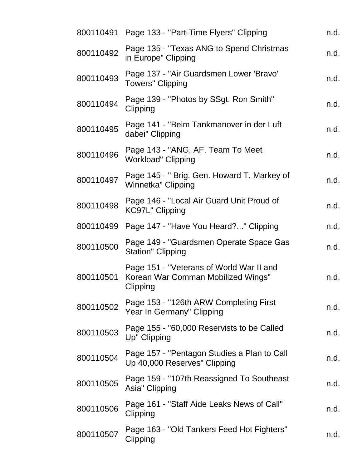|           | 800110491 Page 133 - "Part-Time Flyers" Clipping                                           | n.d. |
|-----------|--------------------------------------------------------------------------------------------|------|
| 800110492 | Page 135 - "Texas ANG to Spend Christmas"<br>in Europe" Clipping                           | n.d. |
| 800110493 | Page 137 - "Air Guardsmen Lower 'Bravo'<br><b>Towers</b> " Clipping                        | n.d. |
| 800110494 | Page 139 - "Photos by SSgt. Ron Smith"<br>Clipping                                         | n.d. |
| 800110495 | Page 141 - "Beim Tankmanover in der Luft<br>dabei" Clipping                                | n.d. |
| 800110496 | Page 143 - "ANG, AF, Team To Meet<br><b>Workload" Clipping</b>                             | n.d. |
| 800110497 | Page 145 - " Brig. Gen. Howard T. Markey of<br>Winnetka" Clipping                          | n.d. |
| 800110498 | Page 146 - "Local Air Guard Unit Proud of<br><b>KC97L" Clipping</b>                        | n.d. |
| 800110499 | Page 147 - "Have You Heard?" Clipping                                                      | n.d. |
| 800110500 | Page 149 - "Guardsmen Operate Space Gas<br><b>Station" Clipping</b>                        | n.d. |
| 800110501 | Page 151 - "Veterans of World War II and<br>Korean War Comman Mobilized Wings"<br>Clipping | n.d. |
| 800110502 | Page 153 - "126th ARW Completing First<br>Year In Germany" Clipping                        | n.d. |
| 800110503 | Page 155 - "60,000 Reservists to be Called<br>Up" Clipping                                 | n.d. |
| 800110504 | Page 157 - "Pentagon Studies a Plan to Call<br>Up 40,000 Reserves" Clipping                | n.d. |
| 800110505 | Page 159 - "107th Reassigned To Southeast<br>Asia" Clipping                                | n.d. |
| 800110506 | Page 161 - "Staff Aide Leaks News of Call"<br>Clipping                                     | n.d. |
| 800110507 | Page 163 - "Old Tankers Feed Hot Fighters"<br>Clipping                                     | n.d. |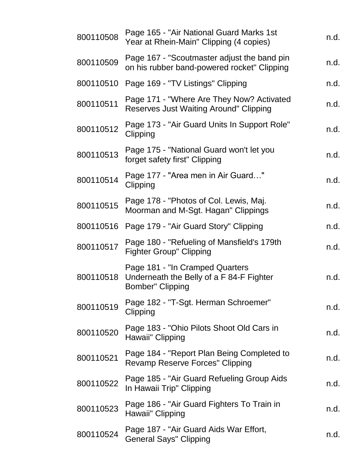| 800110508 | Page 165 - "Air National Guard Marks 1st<br>Year at Rhein-Main" Clipping (4 copies)                    | n.d. |
|-----------|--------------------------------------------------------------------------------------------------------|------|
| 800110509 | Page 167 - "Scoutmaster adjust the band pin<br>on his rubber band-powered rocket" Clipping             | n.d. |
| 800110510 | Page 169 - "TV Listings" Clipping                                                                      | n.d. |
| 800110511 | Page 171 - "Where Are They Now? Activated<br><b>Reserves Just Waiting Around" Clipping</b>             | n.d. |
| 800110512 | Page 173 - "Air Guard Units In Support Role"<br>Clipping                                               | n.d. |
| 800110513 | Page 175 - "National Guard won't let you<br>forget safety first" Clipping                              | n.d. |
| 800110514 | Page 177 - "Area men in Air Guard"<br>Clipping                                                         | n.d. |
| 800110515 | Page 178 - "Photos of Col. Lewis, Maj.<br>Moorman and M-Sgt. Hagan" Clippings                          | n.d. |
| 800110516 | Page 179 - "Air Guard Story" Clipping                                                                  | n.d. |
| 800110517 | Page 180 - "Refueling of Mansfield's 179th<br><b>Fighter Group" Clipping</b>                           | n.d. |
| 800110518 | Page 181 - "In Cramped Quarters<br>Underneath the Belly of a F 84-F Fighter<br><b>Bomber" Clipping</b> | n.d. |
| 800110519 | Page 182 - "T-Sgt. Herman Schroemer"<br>Clipping                                                       | n.d. |
| 800110520 | Page 183 - "Ohio Pilots Shoot Old Cars in<br>Hawaii" Clipping                                          | n.d. |
| 800110521 | Page 184 - "Report Plan Being Completed to<br>Revamp Reserve Forces" Clipping                          | n.d. |
| 800110522 | Page 185 - "Air Guard Refueling Group Aids<br>In Hawaii Trip" Clipping                                 | n.d. |
| 800110523 | Page 186 - "Air Guard Fighters To Train in<br>Hawaii" Clipping                                         | n.d. |
| 800110524 | Page 187 - "Air Guard Aids War Effort,<br><b>General Says" Clipping</b>                                | n.d. |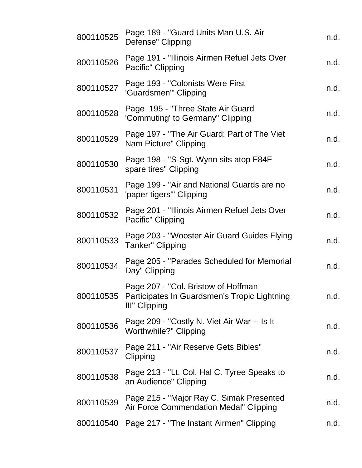| 800110525 | Page 189 - "Guard Units Man U.S. Air<br>Defense" Clipping                                                      | n.d. |
|-----------|----------------------------------------------------------------------------------------------------------------|------|
| 800110526 | Page 191 - "Illinois Airmen Refuel Jets Over<br>Pacific" Clipping                                              | n.d. |
| 800110527 | Page 193 - "Colonists Were First<br>'Guardsmen'" Clipping                                                      | n.d. |
| 800110528 | Page 195 - "Three State Air Guard<br>'Commuting' to Germany" Clipping                                          | n.d. |
| 800110529 | Page 197 - "The Air Guard: Part of The Viet<br>Nam Picture" Clipping                                           | n.d. |
| 800110530 | Page 198 - "S-Sgt. Wynn sits atop F84F<br>spare tires" Clipping                                                | n.d. |
| 800110531 | Page 199 - "Air and National Guards are no<br>'paper tigers'" Clipping                                         | n.d. |
| 800110532 | Page 201 - "Illinois Airmen Refuel Jets Over<br>Pacific" Clipping                                              | n.d. |
| 800110533 | Page 203 - "Wooster Air Guard Guides Flying<br>Tanker" Clipping                                                | n.d. |
| 800110534 | Page 205 - "Parades Scheduled for Memorial<br>Day" Clipping                                                    | n.d. |
|           | Page 207 - "Col. Bristow of Hoffman<br>800110535 Participates In Guardsmen's Tropic Lightning<br>III" Clipping | n.d. |
| 800110536 | Page 209 - "Costly N. Viet Air War -- Is It<br>Worthwhile?" Clipping                                           | n.d. |
| 800110537 | Page 211 - "Air Reserve Gets Bibles"<br>Clipping                                                               | n.d. |
| 800110538 | Page 213 - "Lt. Col. Hal C. Tyree Speaks to<br>an Audience" Clipping                                           | n.d. |
| 800110539 | Page 215 - "Major Ray C. Simak Presented<br>Air Force Commendation Medal" Clipping                             | n.d. |
| 800110540 | Page 217 - "The Instant Airmen" Clipping                                                                       | n.d. |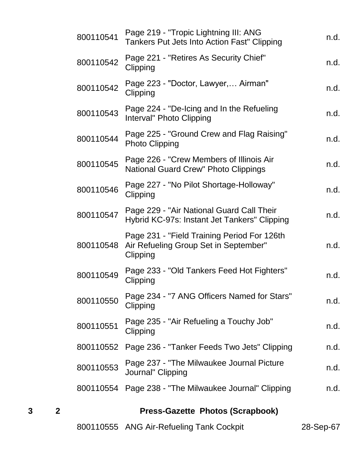| 3 | $\mathbf{2}$ |           | <b>Press-Gazette Photos (Scrapbook)</b>                                                          |      |
|---|--------------|-----------|--------------------------------------------------------------------------------------------------|------|
|   |              |           | 800110554 Page 238 - "The Milwaukee Journal" Clipping                                            | n.d. |
|   |              | 800110553 | Page 237 - "The Milwaukee Journal Picture"<br>Journal" Clipping                                  | n.d. |
|   |              | 800110552 | Page 236 - "Tanker Feeds Two Jets" Clipping                                                      | n.d. |
|   |              | 800110551 | Page 235 - "Air Refueling a Touchy Job"<br>Clipping                                              | n.d. |
|   |              | 800110550 | Page 234 - "7 ANG Officers Named for Stars"<br>Clipping                                          | n.d. |
|   |              | 800110549 | Page 233 - "Old Tankers Feed Hot Fighters"<br>Clipping                                           | n.d. |
|   |              | 800110548 | Page 231 - "Field Training Period For 126th<br>Air Refueling Group Set in September"<br>Clipping | n.d. |
|   |              | 800110547 | Page 229 - "Air National Guard Call Their<br>Hybrid KC-97s: Instant Jet Tankers" Clipping        | n.d. |
|   |              | 800110546 | Page 227 - "No Pilot Shortage-Holloway"<br>Clipping                                              | n.d. |
|   |              | 800110545 | Page 226 - "Crew Members of Illinois Air<br>National Guard Crew" Photo Clippings                 | n.d. |
|   |              | 800110544 | Page 225 - "Ground Crew and Flag Raising"<br><b>Photo Clipping</b>                               | n.d. |
|   |              | 800110543 | Page 224 - "De-Icing and In the Refueling<br>Interval" Photo Clipping                            | n.d. |
|   |              | 800110542 | Page 223 - "Doctor, Lawyer, Airman"<br>Clipping                                                  | n.d. |
|   |              | 800110542 | Page 221 - "Retires As Security Chief"<br>Clipping                                               | n.d. |
|   |              | 800110541 | Page 219 - "Tropic Lightning III: ANG<br>Tankers Put Jets Into Action Fast" Clipping             | n.d. |

800110555 ANG Air-Refueling Tank Cockpit 28-Sep-67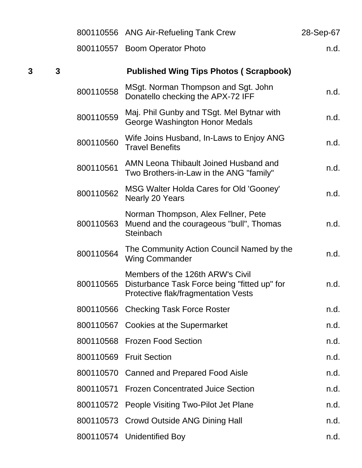|   |              |           | 800110556 ANG Air-Refueling Tank Crew                                                                                   | 28-Sep-67 |
|---|--------------|-----------|-------------------------------------------------------------------------------------------------------------------------|-----------|
|   |              |           | 800110557 Boom Operator Photo                                                                                           | n.d.      |
| 3 | $\mathbf{3}$ |           | <b>Published Wing Tips Photos (Scrapbook)</b>                                                                           |           |
|   |              | 800110558 | MSgt. Norman Thompson and Sgt. John<br>Donatello checking the APX-72 IFF                                                | n.d.      |
|   |              | 800110559 | Maj. Phil Gunby and TSgt. Mel Bytnar with<br>George Washington Honor Medals                                             | n.d.      |
|   |              | 800110560 | Wife Joins Husband, In-Laws to Enjoy ANG<br><b>Travel Benefits</b>                                                      | n.d.      |
|   |              | 800110561 | AMN Leona Thibault Joined Husband and<br>Two Brothers-in-Law in the ANG "family"                                        | n.d.      |
|   |              | 800110562 | MSG Walter Holda Cares for Old 'Gooney'<br>Nearly 20 Years                                                              | n.d.      |
|   |              | 800110563 | Norman Thompson, Alex Fellner, Pete<br>Muend and the courageous "bull", Thomas<br>Steinbach                             | n.d.      |
|   |              | 800110564 | The Community Action Council Named by the<br><b>Wing Commander</b>                                                      | n.d.      |
|   |              | 800110565 | Members of the 126th ARW's Civil<br>Disturbance Task Force being "fitted up" for<br>Protective flak/fragmentation Vests | n.d.      |
|   |              | 800110566 | <b>Checking Task Force Roster</b>                                                                                       | n.d.      |
|   |              |           | 800110567 Cookies at the Supermarket                                                                                    | n.d.      |
|   |              |           | 800110568 Frozen Food Section                                                                                           | n.d.      |
|   |              |           | 800110569 Fruit Section                                                                                                 | n.d.      |
|   |              |           | 800110570 Canned and Prepared Food Aisle                                                                                | n.d.      |
|   |              |           | 800110571 Frozen Concentrated Juice Section                                                                             | n.d.      |
|   |              |           | 800110572 People Visiting Two-Pilot Jet Plane                                                                           | n.d.      |
|   |              |           | 800110573 Crowd Outside ANG Dining Hall                                                                                 | n.d.      |
|   |              |           | 800110574 Unidentified Boy                                                                                              | n.d.      |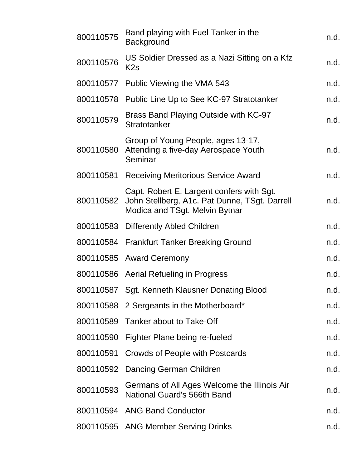| 800110575 | Band playing with Fuel Tanker in the<br><b>Background</b>                                                                    | n.d. |
|-----------|------------------------------------------------------------------------------------------------------------------------------|------|
| 800110576 | US Soldier Dressed as a Nazi Sitting on a Kfz<br>K <sub>2s</sub>                                                             | n.d. |
| 800110577 | Public Viewing the VMA 543                                                                                                   | n.d. |
| 800110578 | Public Line Up to See KC-97 Stratotanker                                                                                     | n.d. |
| 800110579 | Brass Band Playing Outside with KC-97<br>Stratotanker                                                                        | n.d. |
| 800110580 | Group of Young People, ages 13-17,<br>Attending a five-day Aerospace Youth<br>Seminar                                        | n.d. |
| 800110581 | <b>Receiving Meritorious Service Award</b>                                                                                   | n.d. |
| 800110582 | Capt. Robert E. Largent confers with Sgt.<br>John Stellberg, A1c. Pat Dunne, TSgt. Darrell<br>Modica and TSgt. Melvin Bytnar | n.d. |
|           | 800110583 Differently Abled Children                                                                                         | n.d. |
|           | 800110584 Frankfurt Tanker Breaking Ground                                                                                   | n.d. |
|           | 800110585 Award Ceremony                                                                                                     | n.d. |
|           | 800110586 Aerial Refueling in Progress                                                                                       | n.d. |
|           | 800110587 Sgt. Kenneth Klausner Donating Blood                                                                               | n.d. |
|           | 800110588 2 Sergeants in the Motherboard*                                                                                    | n.d. |
|           | 800110589 Tanker about to Take-Off                                                                                           | n.d. |
| 800110590 | Fighter Plane being re-fueled                                                                                                | n.d. |
| 800110591 | Crowds of People with Postcards                                                                                              | n.d. |
| 800110592 | Dancing German Children                                                                                                      | n.d. |
| 800110593 | Germans of All Ages Welcome the Illinois Air<br>National Guard's 566th Band                                                  | n.d. |
|           | 800110594 ANG Band Conductor                                                                                                 | n.d. |
|           | 800110595 ANG Member Serving Drinks                                                                                          | n.d. |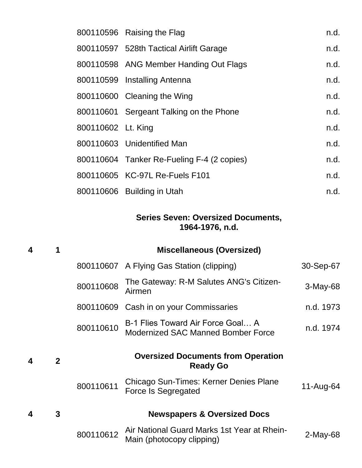|                    | 800110596 Raising the Flag                 | n.d. |
|--------------------|--------------------------------------------|------|
|                    | 800110597 528th Tactical Airlift Garage    | n.d. |
|                    | 800110598 ANG Member Handing Out Flags     | n.d. |
|                    | 800110599 Installing Antenna               | n.d. |
|                    | 800110600 Cleaning the Wing                | n.d. |
|                    | 800110601 Sergeant Talking on the Phone    | n.d. |
| 800110602 Lt. King |                                            | n.d. |
|                    | 800110603 Unidentified Man                 | n.d. |
|                    | 800110604 Tanker Re-Fueling F-4 (2 copies) | n.d. |
|                    | 800110605 KC-97L Re-Fuels F101             | n.d. |
|                    | 800110606 Building in Utah                 | n.d. |

#### **Series Seven: Oversized Documents, 1964-1976, n.d.**

| $\overline{\mathbf{4}}$ |              |           | <b>Miscellaneous (Oversized)</b>                                        |            |
|-------------------------|--------------|-----------|-------------------------------------------------------------------------|------------|
|                         |              |           | 800110607 A Flying Gas Station (clipping)                               | 30-Sep-67  |
|                         |              | 800110608 | The Gateway: R-M Salutes ANG's Citizen-<br>Airmen                       | $3-May-68$ |
|                         |              | 800110609 | Cash in on your Commissaries                                            | n.d. 1973  |
|                         |              | 800110610 | B-1 Flies Toward Air Force Goal A<br>Modernized SAC Manned Bomber Force | n.d. 1974  |
|                         |              |           |                                                                         |            |
| $\boldsymbol{4}$        | $\mathbf{2}$ |           | <b>Oversized Documents from Operation</b><br><b>Ready Go</b>            |            |
|                         |              | 800110611 | Chicago Sun-Times: Kerner Denies Plane<br><b>Force Is Segregated</b>    | 11-Aug-64  |
| 4                       | 3            |           | <b>Newspapers &amp; Oversized Docs</b>                                  |            |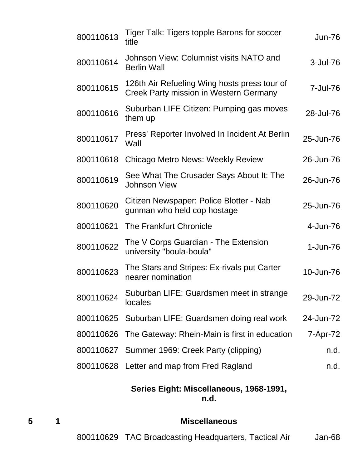| 800110613 | Tiger Talk: Tigers topple Barons for soccer<br>title                                          | <b>Jun-76</b> |
|-----------|-----------------------------------------------------------------------------------------------|---------------|
| 800110614 | Johnson View: Columnist visits NATO and<br><b>Berlin Wall</b>                                 | 3-Jul-76      |
| 800110615 | 126th Air Refueling Wing hosts press tour of<br><b>Creek Party mission in Western Germany</b> | 7-Jul-76      |
| 800110616 | Suburban LIFE Citizen: Pumping gas moves<br>them up                                           | 28-Jul-76     |
| 800110617 | Press' Reporter Involved In Incident At Berlin<br>Wall                                        | 25-Jun-76     |
| 800110618 | Chicago Metro News: Weekly Review                                                             | 26-Jun-76     |
| 800110619 | See What The Crusader Says About It: The<br><b>Johnson View</b>                               | 26-Jun-76     |
| 800110620 | Citizen Newspaper: Police Blotter - Nab<br>gunman who held cop hostage                        | 25-Jun-76     |
| 800110621 | <b>The Frankfurt Chronicle</b>                                                                | 4-Jun-76      |
| 800110622 | The V Corps Guardian - The Extension<br>university "boula-boula"                              | $1 - Jun-76$  |
| 800110623 | The Stars and Stripes: Ex-rivals put Carter<br>nearer nomination                              | 10-Jun-76     |
| 800110624 | Suburban LIFE: Guardsmen meet in strange<br>locales                                           | 29-Jun-72     |
|           | 800110625 Suburban LIFE: Guardsmen doing real work                                            | 24-Jun-72     |
|           | 800110626 The Gateway: Rhein-Main is first in education                                       | 7-Apr-72      |
|           | 800110627 Summer 1969: Creek Party (clipping)                                                 | n.d.          |
|           | 800110628 Letter and map from Fred Ragland                                                    | n.d.          |

#### **Series Eight: Miscellaneous, 1968-1991, n.d.**

## **5 1 Miscellaneous**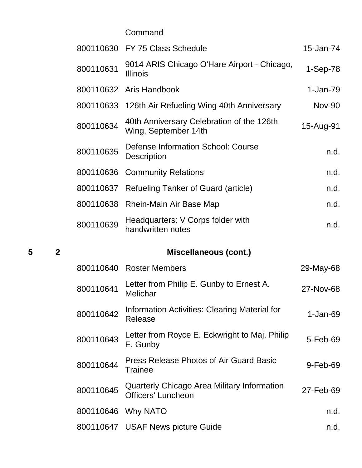**Command** 

|   |                |           | 800110630 FY 75 Class Schedule                                           | 15-Jan-74     |
|---|----------------|-----------|--------------------------------------------------------------------------|---------------|
|   |                | 800110631 | 9014 ARIS Chicago O'Hare Airport - Chicago,<br><b>Illinois</b>           | $1-Sep-78$    |
|   |                |           | 800110632 Aris Handbook                                                  | 1-Jan-79      |
|   |                |           | 800110633 126th Air Refueling Wing 40th Anniversary                      | <b>Nov-90</b> |
|   |                | 800110634 | 40th Anniversary Celebration of the 126th<br>Wing, September 14th        | 15-Aug-91     |
|   |                | 800110635 | Defense Information School: Course<br><b>Description</b>                 | n.d.          |
|   |                | 800110636 | <b>Community Relations</b>                                               | n.d.          |
|   |                | 800110637 | <b>Refueling Tanker of Guard (article)</b>                               | n.d.          |
|   |                |           | 800110638 Rhein-Main Air Base Map                                        | n.d.          |
|   |                | 800110639 | Headquarters: V Corps folder with<br>handwritten notes                   | n.d.          |
|   |                |           |                                                                          |               |
| 5 | $\overline{2}$ |           | <b>Miscellaneous (cont.)</b>                                             |               |
|   |                |           | 800110640 Roster Members                                                 | 29-May-68     |
|   |                | 800110641 | Letter from Philip E. Gunby to Ernest A.<br>Melichar                     | 27-Nov-68     |
|   |                | 800110642 | <b>Information Activities: Clearing Material for</b><br>Release          | $1-Jan-69$    |
|   |                | 800110643 | Letter from Royce E. Eckwright to Maj. Philip<br>E. Gunby                | 5-Feb-69      |
|   |                | 800110644 | <b>Press Release Photos of Air Guard Basic</b><br><b>Trainee</b>         | 9-Feb-69      |
|   |                | 800110645 | Quarterly Chicago Area Military Information<br><b>Officers' Luncheon</b> | 27-Feb-69     |
|   |                | 800110646 | Why NATO                                                                 | n.d.          |